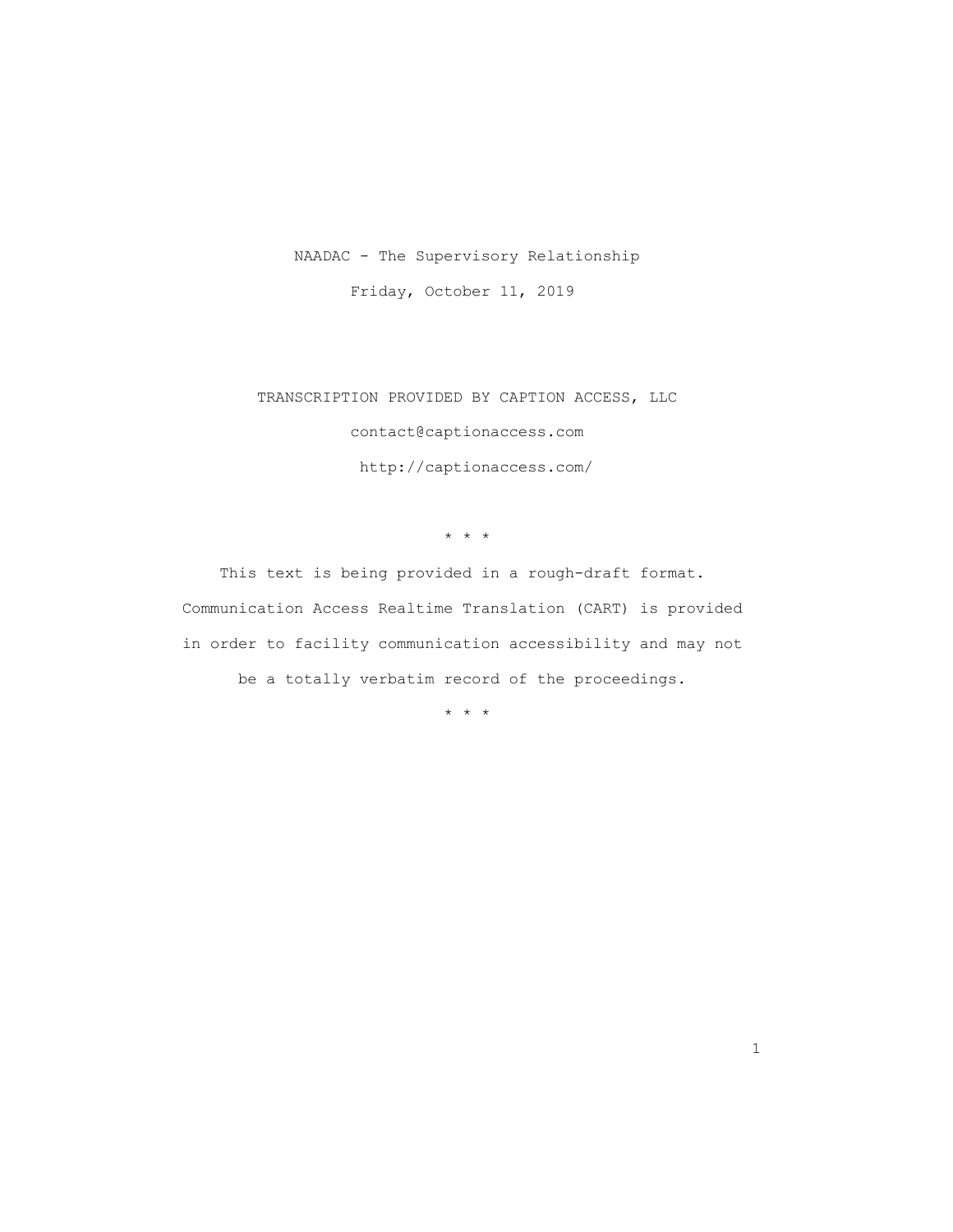## NAADAC - The Supervisory Relationship

Friday, October 11, 2019

 TRANSCRIPTION PROVIDED BY CAPTION ACCESS, LLC contact@captionaccess.com http://captionaccess.com/

\* \* \*

 This text is being provided in a rough-draft format. Communication Access Realtime Translation (CART) is provided in order to facility communication accessibility and may not be a totally verbatim record of the proceedings.

\* \* \*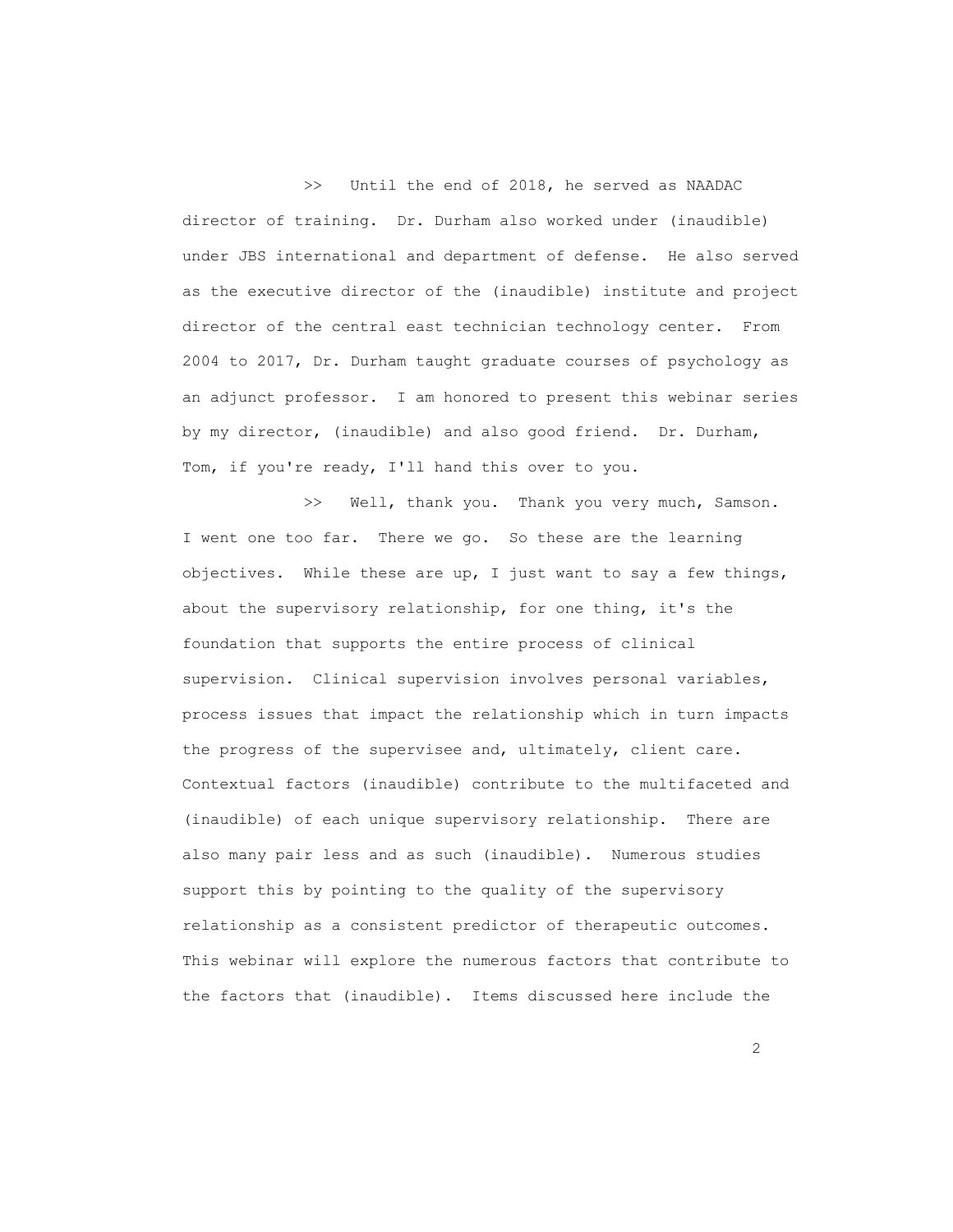>> Until the end of 2018, he served as NAADAC director of training. Dr. Durham also worked under (inaudible) under JBS international and department of defense. He also served as the executive director of the (inaudible) institute and project director of the central east technician technology center. From 2004 to 2017, Dr. Durham taught graduate courses of psychology as an adjunct professor. I am honored to present this webinar series by my director, (inaudible) and also good friend. Dr. Durham, Tom, if you're ready, I'll hand this over to you.

>> Well, thank you. Thank you very much, Samson. I went one too far. There we go. So these are the learning objectives. While these are up, I just want to say a few things, about the supervisory relationship, for one thing, it's the foundation that supports the entire process of clinical supervision. Clinical supervision involves personal variables, process issues that impact the relationship which in turn impacts the progress of the supervisee and, ultimately, client care. Contextual factors (inaudible) contribute to the multifaceted and (inaudible) of each unique supervisory relationship. There are also many pair less and as such (inaudible). Numerous studies support this by pointing to the quality of the supervisory relationship as a consistent predictor of therapeutic outcomes. This webinar will explore the numerous factors that contribute to the factors that (inaudible). Items discussed here include the

 $\overline{2}$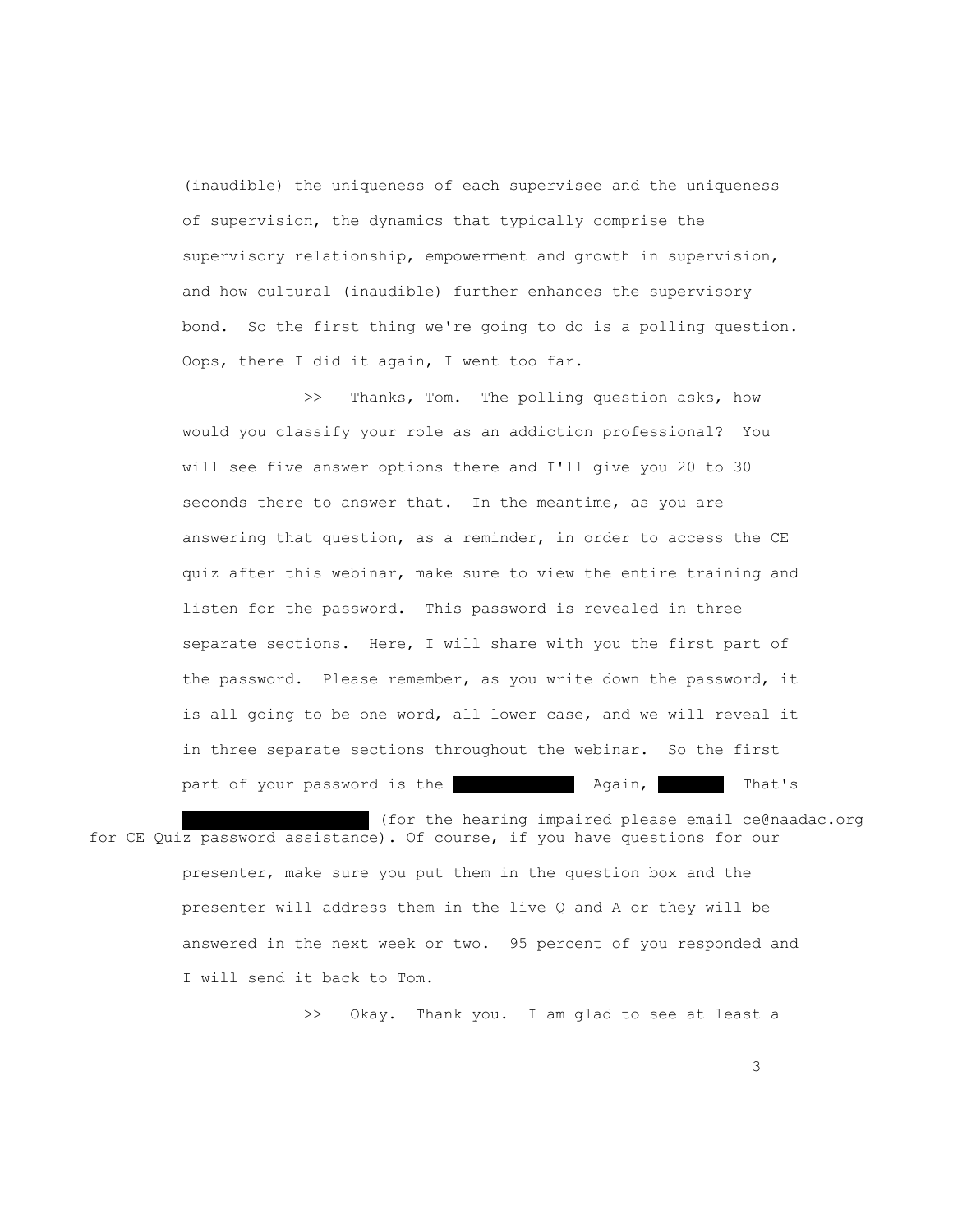(inaudible) the uniqueness of each supervisee and the uniqueness of supervision, the dynamics that typically comprise the supervisory relationship, empowerment and growth in supervision, and how cultural (inaudible) further enhances the supervisory bond. So the first thing we're going to do is a polling question. Oops, there I did it again, I went too far.

>> Thanks, Tom. The polling question asks, how would you classify your role as an addiction professional? You will see five answer options there and I'll give you 20 to 30 seconds there to answer that. In the meantime, as you are answering that question, as a reminder, in order to access the CE quiz after this webinar, make sure to view the entire training and listen for the password. This password is revealed in three separate sections. Here, I will share with you the first part of the password. Please remember, as you write down the password, it is all going to be one word, all lower case, and we will reveal it in three separate sections throughout the webinar. So the first part of your password is the color orange. Again, That's

(for the hearing impaired please email ce@naadac.org for CE Quiz password assistance). Of course, if you have questions for our presenter, make sure you put them in the question box and the presenter will address them in the live Q and A or they will be answered in the next week or two. 95 percent of you responded and I will send it back to Tom.

>> Okay. Thank you. I am glad to see at least a

<u>3</u> and the state of the state of the state of the state of the state of the state of the state of the state of the state of the state of the state of the state of the state of the state of the state of the state of the st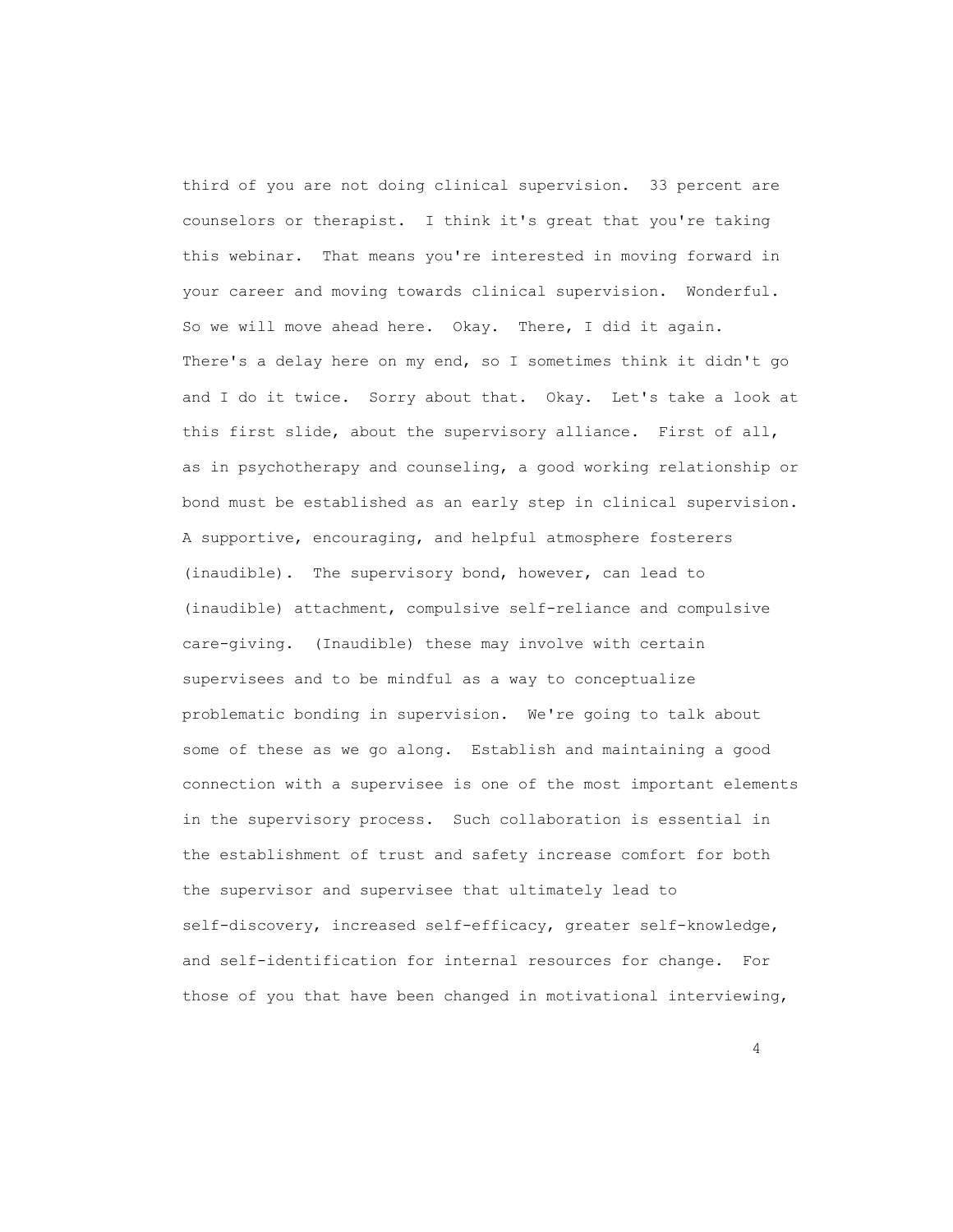third of you are not doing clinical supervision. 33 percent are counselors or therapist. I think it's great that you're taking this webinar. That means you're interested in moving forward in your career and moving towards clinical supervision. Wonderful. So we will move ahead here. Okay. There, I did it again. There's a delay here on my end, so I sometimes think it didn't go and I do it twice. Sorry about that. Okay. Let's take a look at this first slide, about the supervisory alliance. First of all, as in psychotherapy and counseling, a good working relationship or bond must be established as an early step in clinical supervision. A supportive, encouraging, and helpful atmosphere fosterers (inaudible). The supervisory bond, however, can lead to (inaudible) attachment, compulsive self-reliance and compulsive care-giving. (Inaudible) these may involve with certain supervisees and to be mindful as a way to conceptualize problematic bonding in supervision. We're going to talk about some of these as we go along. Establish and maintaining a good connection with a supervisee is one of the most important elements in the supervisory process. Such collaboration is essential in the establishment of trust and safety increase comfort for both the supervisor and supervisee that ultimately lead to self-discovery, increased self-efficacy, greater self-knowledge, and self-identification for internal resources for change. For those of you that have been changed in motivational interviewing,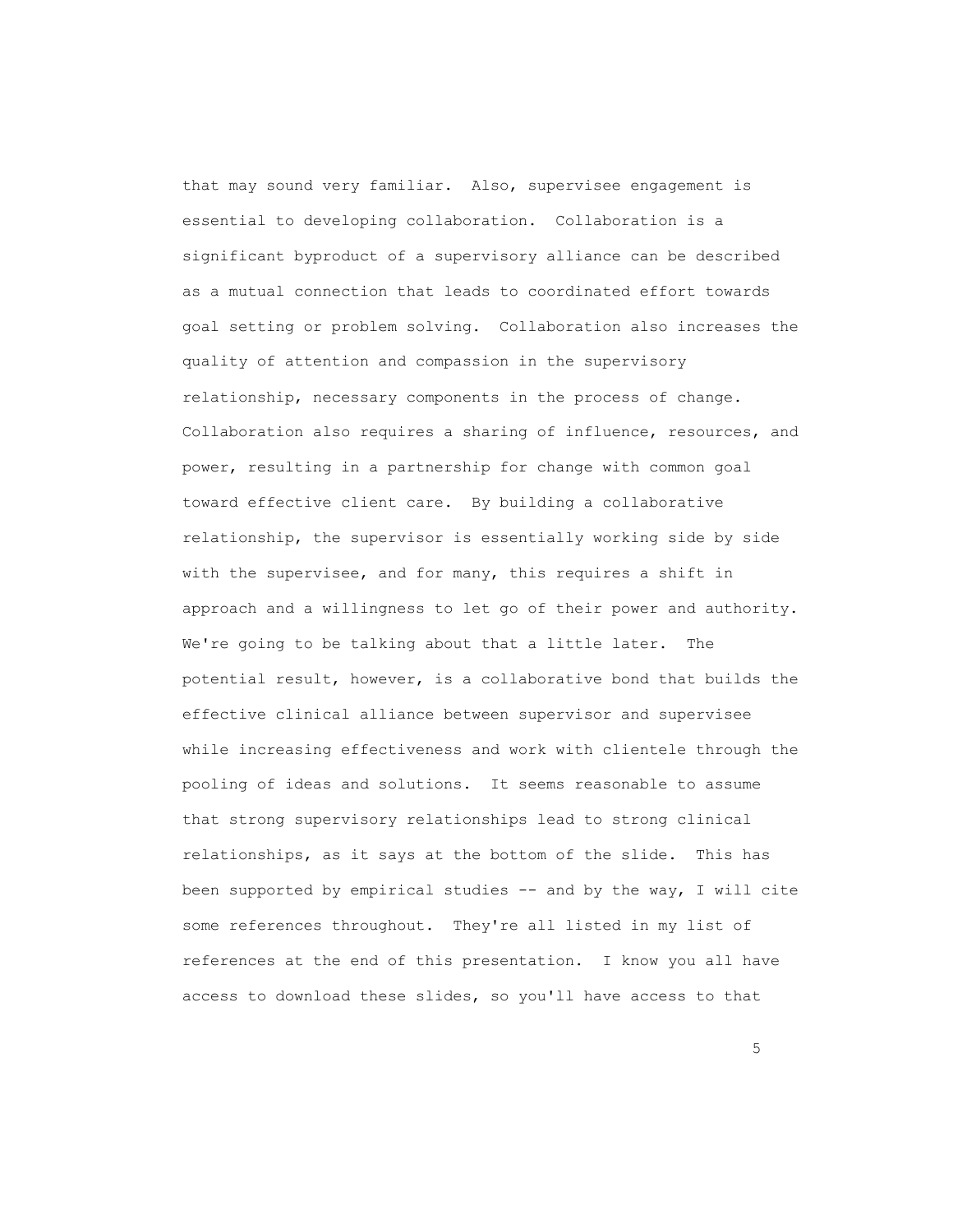that may sound very familiar. Also, supervisee engagement is essential to developing collaboration. Collaboration is a significant byproduct of a supervisory alliance can be described as a mutual connection that leads to coordinated effort towards goal setting or problem solving. Collaboration also increases the quality of attention and compassion in the supervisory relationship, necessary components in the process of change. Collaboration also requires a sharing of influence, resources, and power, resulting in a partnership for change with common goal toward effective client care. By building a collaborative relationship, the supervisor is essentially working side by side with the supervisee, and for many, this requires a shift in approach and a willingness to let go of their power and authority. We're going to be talking about that a little later. The potential result, however, is a collaborative bond that builds the effective clinical alliance between supervisor and supervisee while increasing effectiveness and work with clientele through the pooling of ideas and solutions. It seems reasonable to assume that strong supervisory relationships lead to strong clinical relationships, as it says at the bottom of the slide. This has been supported by empirical studies -- and by the way, I will cite some references throughout. They're all listed in my list of references at the end of this presentation. I know you all have access to download these slides, so you'll have access to that

the contract of the contract of the contract of the contract of the contract of the contract of the contract of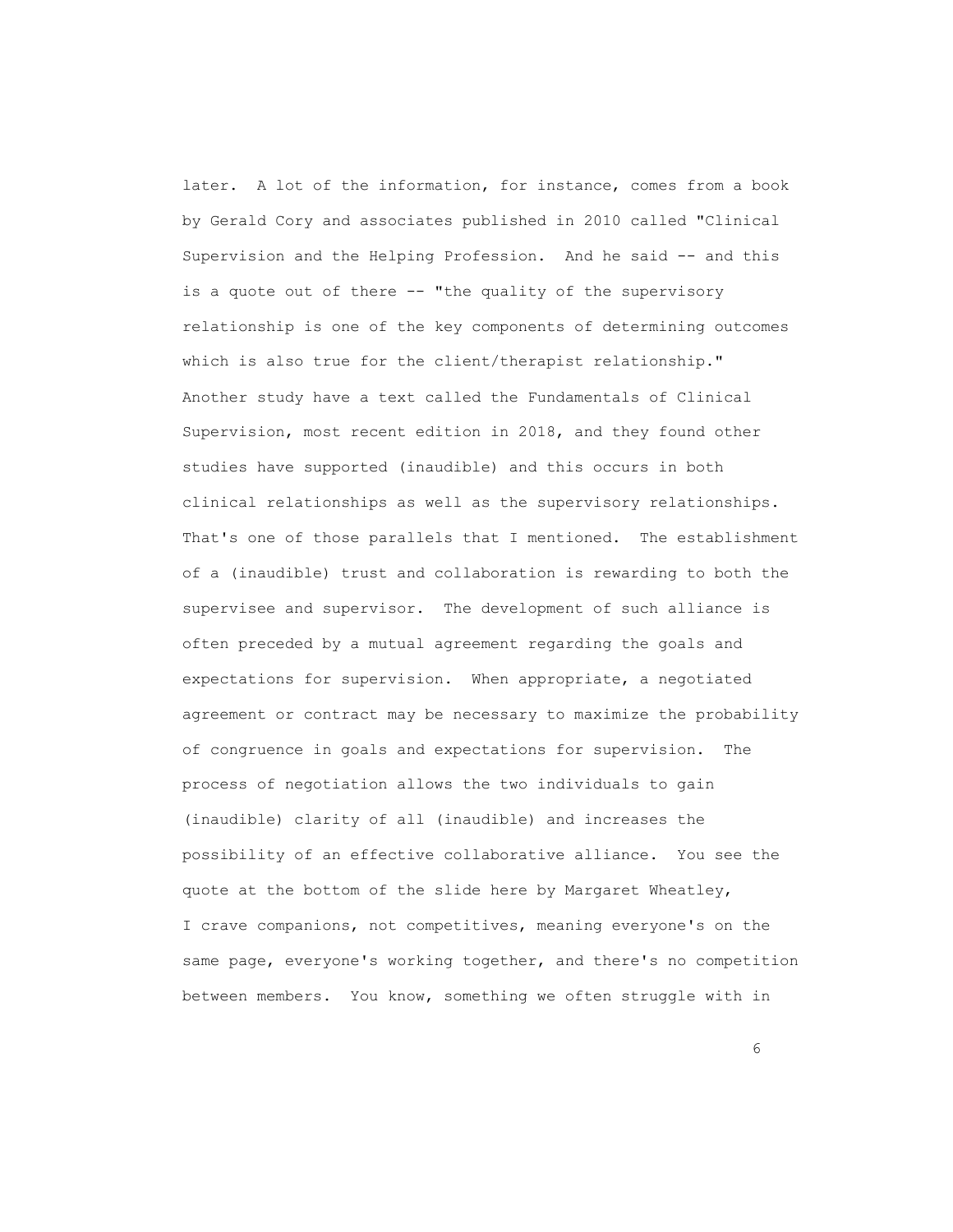later. A lot of the information, for instance, comes from a book by Gerald Cory and associates published in 2010 called "Clinical Supervision and the Helping Profession. And he said -- and this is a quote out of there -- "the quality of the supervisory relationship is one of the key components of determining outcomes which is also true for the client/therapist relationship." Another study have a text called the Fundamentals of Clinical Supervision, most recent edition in 2018, and they found other studies have supported (inaudible) and this occurs in both clinical relationships as well as the supervisory relationships. That's one of those parallels that I mentioned. The establishment of a (inaudible) trust and collaboration is rewarding to both the supervisee and supervisor. The development of such alliance is often preceded by a mutual agreement regarding the goals and expectations for supervision. When appropriate, a negotiated agreement or contract may be necessary to maximize the probability of congruence in goals and expectations for supervision. The process of negotiation allows the two individuals to gain (inaudible) clarity of all (inaudible) and increases the possibility of an effective collaborative alliance. You see the quote at the bottom of the slide here by Margaret Wheatley, I crave companions, not competitives, meaning everyone's on the same page, everyone's working together, and there's no competition between members. You know, something we often struggle with in

entrante de la construction de la construction de la construction de la construction de la construction de la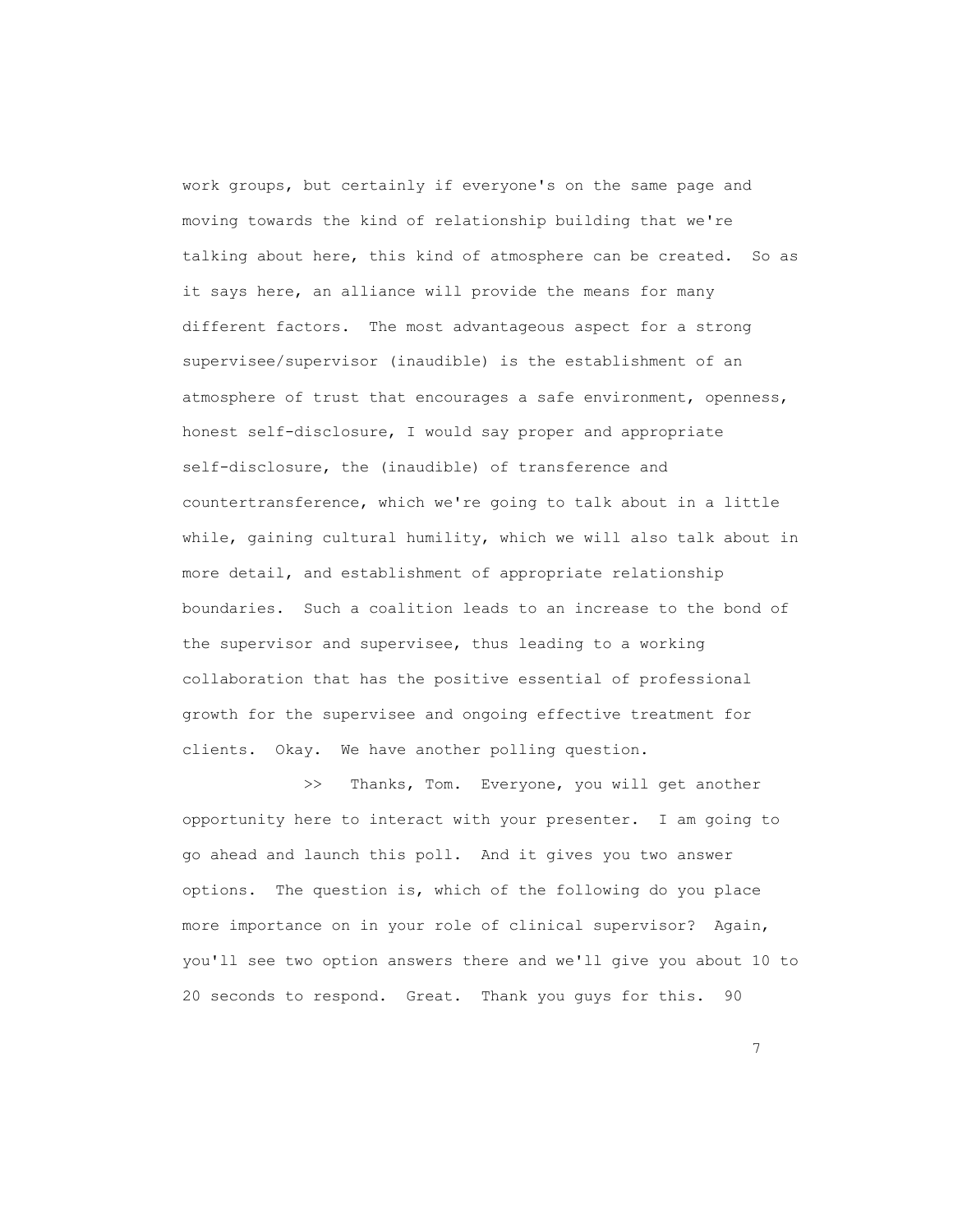work groups, but certainly if everyone's on the same page and moving towards the kind of relationship building that we're talking about here, this kind of atmosphere can be created. So as it says here, an alliance will provide the means for many different factors. The most advantageous aspect for a strong supervisee/supervisor (inaudible) is the establishment of an atmosphere of trust that encourages a safe environment, openness, honest self-disclosure, I would say proper and appropriate self-disclosure, the (inaudible) of transference and countertransference, which we're going to talk about in a little while, gaining cultural humility, which we will also talk about in more detail, and establishment of appropriate relationship boundaries. Such a coalition leads to an increase to the bond of the supervisor and supervisee, thus leading to a working collaboration that has the positive essential of professional growth for the supervisee and ongoing effective treatment for clients. Okay. We have another polling question.

>> Thanks, Tom. Everyone, you will get another opportunity here to interact with your presenter. I am going to go ahead and launch this poll. And it gives you two answer options. The question is, which of the following do you place more importance on in your role of clinical supervisor? Again, you'll see two option answers there and we'll give you about 10 to 20 seconds to respond. Great. Thank you guys for this. 90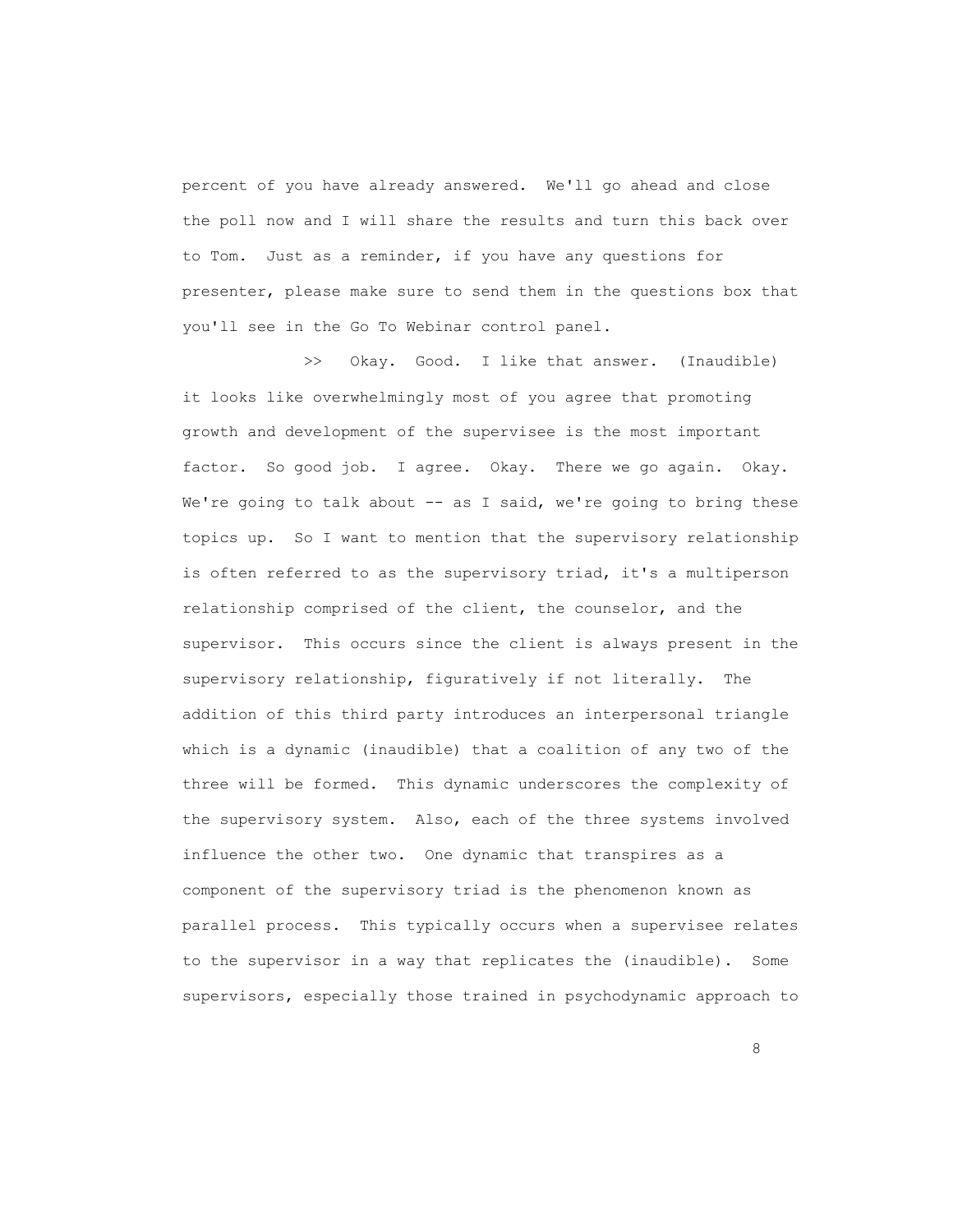percent of you have already answered. We'll go ahead and close the poll now and I will share the results and turn this back over to Tom. Just as a reminder, if you have any questions for presenter, please make sure to send them in the questions box that you'll see in the Go To Webinar control panel.

 >> Okay. Good. I like that answer. (Inaudible) it looks like overwhelmingly most of you agree that promoting growth and development of the supervisee is the most important factor. So good job. I agree. Okay. There we go again. Okay. We're going to talk about -- as I said, we're going to bring these topics up. So I want to mention that the supervisory relationship is often referred to as the supervisory triad, it's a multiperson relationship comprised of the client, the counselor, and the supervisor. This occurs since the client is always present in the supervisory relationship, figuratively if not literally. The addition of this third party introduces an interpersonal triangle which is a dynamic (inaudible) that a coalition of any two of the three will be formed. This dynamic underscores the complexity of the supervisory system. Also, each of the three systems involved influence the other two. One dynamic that transpires as a component of the supervisory triad is the phenomenon known as parallel process. This typically occurs when a supervisee relates to the supervisor in a way that replicates the (inaudible). Some supervisors, especially those trained in psychodynamic approach to

<u>and the state of the state of the state of the state of the state of the state of the state of the state of th</u>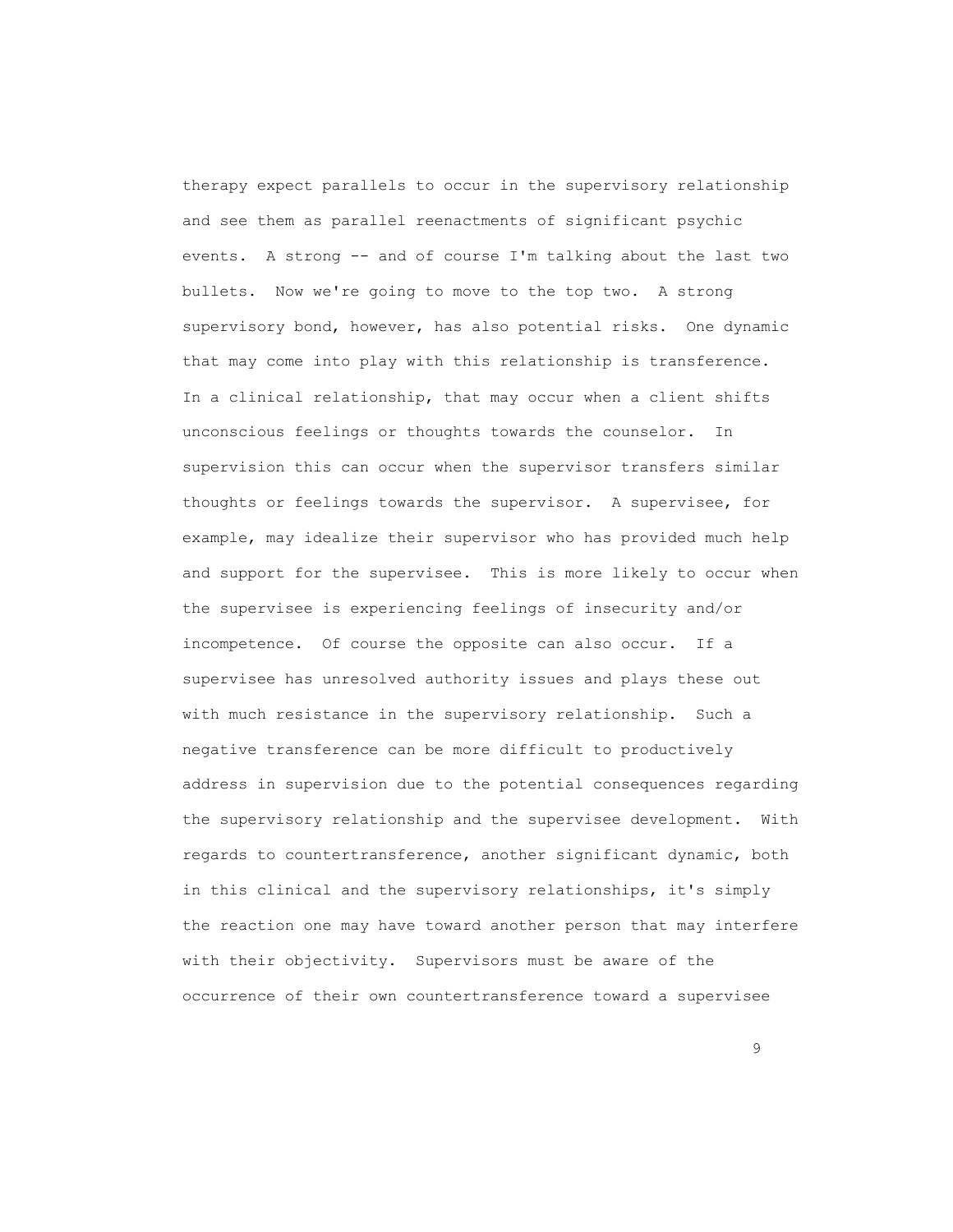therapy expect parallels to occur in the supervisory relationship and see them as parallel reenactments of significant psychic events. A strong -- and of course I'm talking about the last two bullets. Now we're going to move to the top two. A strong supervisory bond, however, has also potential risks. One dynamic that may come into play with this relationship is transference. In a clinical relationship, that may occur when a client shifts unconscious feelings or thoughts towards the counselor. In supervision this can occur when the supervisor transfers similar thoughts or feelings towards the supervisor. A supervisee, for example, may idealize their supervisor who has provided much help and support for the supervisee. This is more likely to occur when the supervisee is experiencing feelings of insecurity and/or incompetence. Of course the opposite can also occur. If a supervisee has unresolved authority issues and plays these out with much resistance in the supervisory relationship. Such a negative transference can be more difficult to productively address in supervision due to the potential consequences regarding the supervisory relationship and the supervisee development. With regards to countertransference, another significant dynamic, both in this clinical and the supervisory relationships, it's simply the reaction one may have toward another person that may interfere with their objectivity. Supervisors must be aware of the occurrence of their own countertransference toward a supervisee

en de la construction de la construction de la construction de la construction de la construction de la constr<br>1990 : la construction de la construction de la construction de la construction de la construction de la const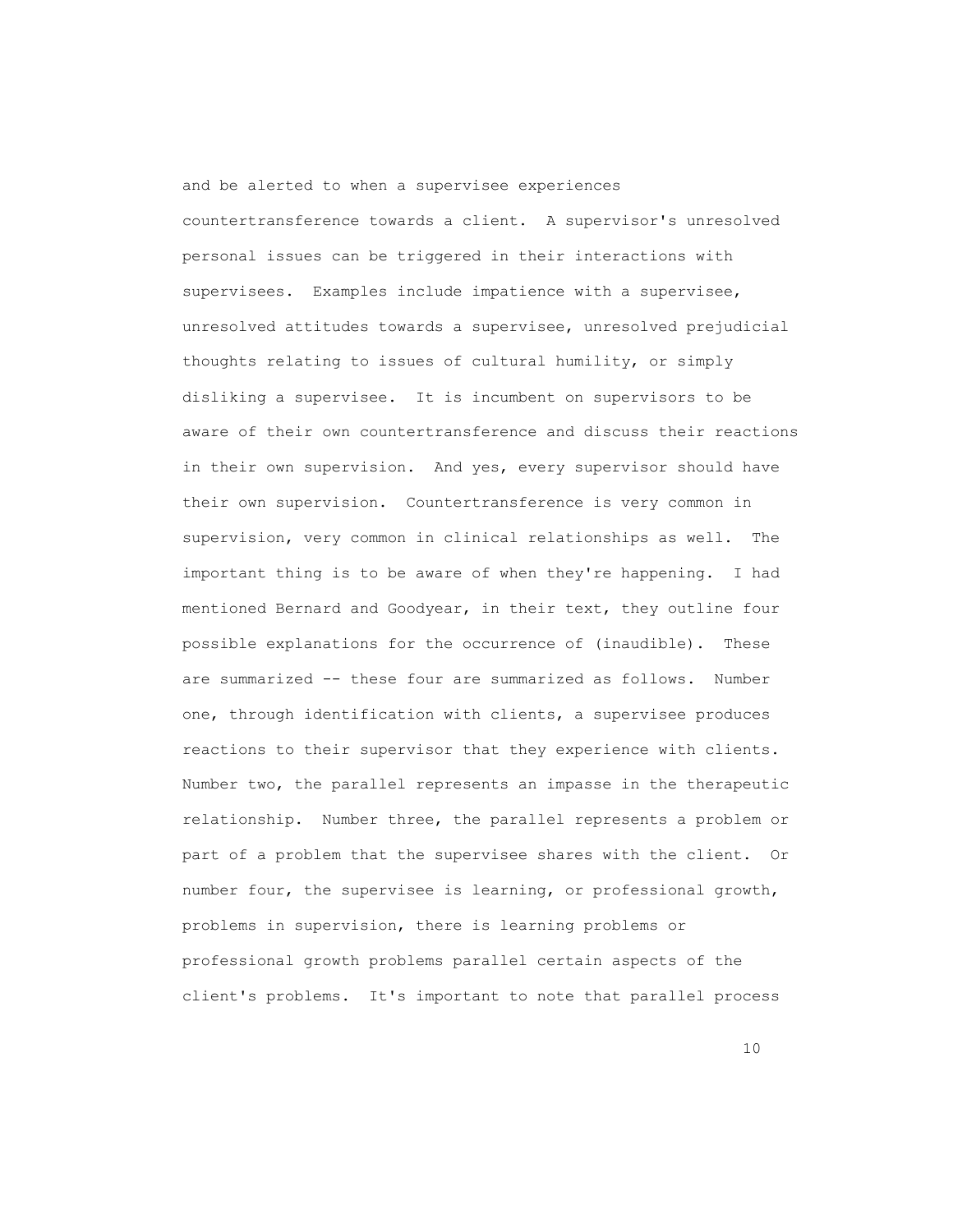and be alerted to when a supervisee experiences countertransference towards a client. A supervisor's unresolved personal issues can be triggered in their interactions with supervisees. Examples include impatience with a supervisee, unresolved attitudes towards a supervisee, unresolved prejudicial thoughts relating to issues of cultural humility, or simply disliking a supervisee. It is incumbent on supervisors to be aware of their own countertransference and discuss their reactions in their own supervision. And yes, every supervisor should have their own supervision. Countertransference is very common in supervision, very common in clinical relationships as well. The important thing is to be aware of when they're happening. I had mentioned Bernard and Goodyear, in their text, they outline four possible explanations for the occurrence of (inaudible). These are summarized -- these four are summarized as follows. Number one, through identification with clients, a supervisee produces reactions to their supervisor that they experience with clients. Number two, the parallel represents an impasse in the therapeutic relationship. Number three, the parallel represents a problem or part of a problem that the supervisee shares with the client. Or number four, the supervisee is learning, or professional growth, problems in supervision, there is learning problems or professional growth problems parallel certain aspects of the client's problems. It's important to note that parallel process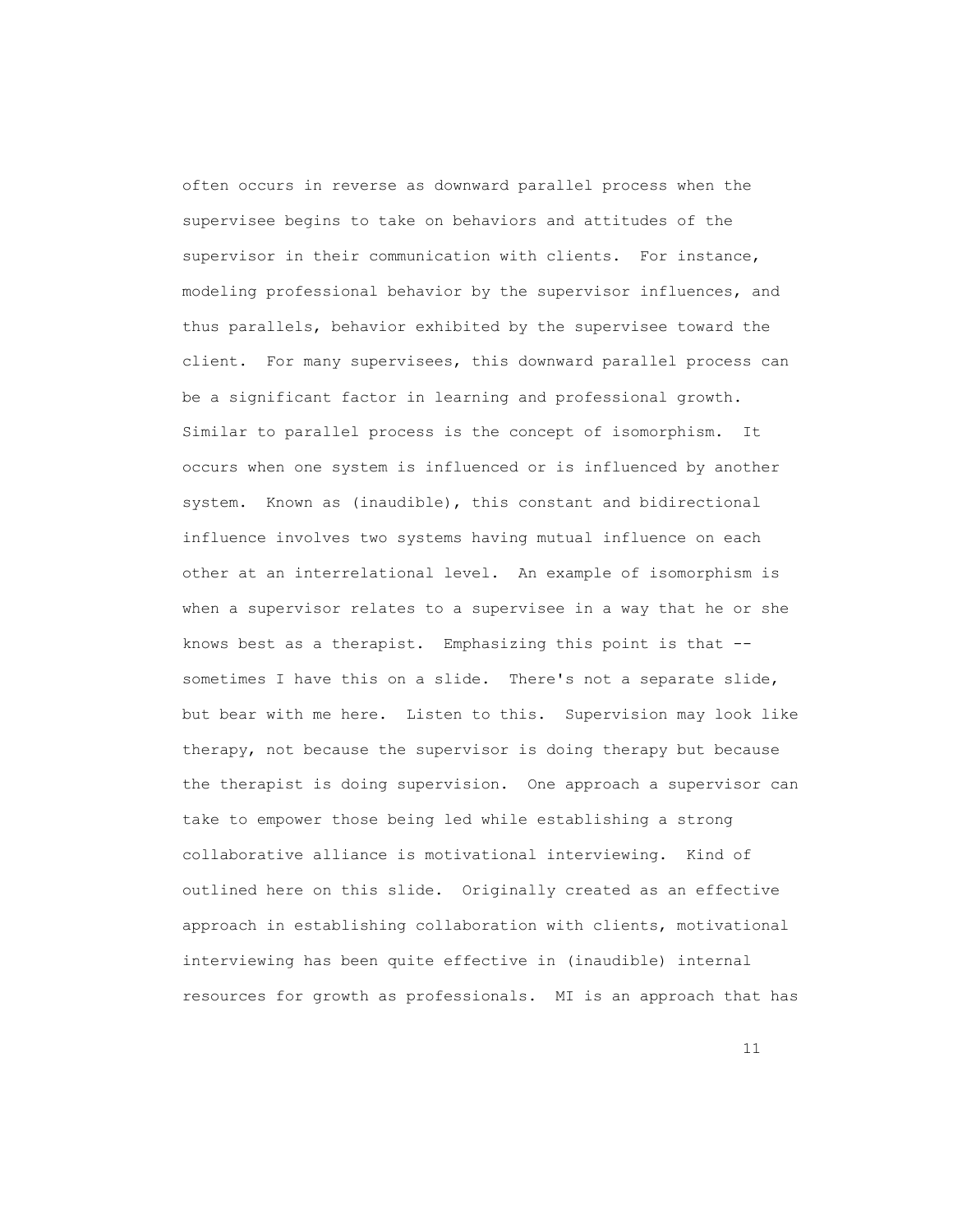often occurs in reverse as downward parallel process when the supervisee begins to take on behaviors and attitudes of the supervisor in their communication with clients. For instance, modeling professional behavior by the supervisor influences, and thus parallels, behavior exhibited by the supervisee toward the client. For many supervisees, this downward parallel process can be a significant factor in learning and professional growth. Similar to parallel process is the concept of isomorphism. It occurs when one system is influenced or is influenced by another system. Known as (inaudible), this constant and bidirectional influence involves two systems having mutual influence on each other at an interrelational level. An example of isomorphism is when a supervisor relates to a supervisee in a way that he or she knows best as a therapist. Emphasizing this point is that - sometimes I have this on a slide. There's not a separate slide, but bear with me here. Listen to this. Supervision may look like therapy, not because the supervisor is doing therapy but because the therapist is doing supervision. One approach a supervisor can take to empower those being led while establishing a strong collaborative alliance is motivational interviewing. Kind of outlined here on this slide. Originally created as an effective approach in establishing collaboration with clients, motivational interviewing has been quite effective in (inaudible) internal resources for growth as professionals. MI is an approach that has

11 and 12 and 13 and 13 and 14 and 14 and 14 and 14 and 15 and 16 and 17 and 17 and 17 and 17 and 17 and 17 an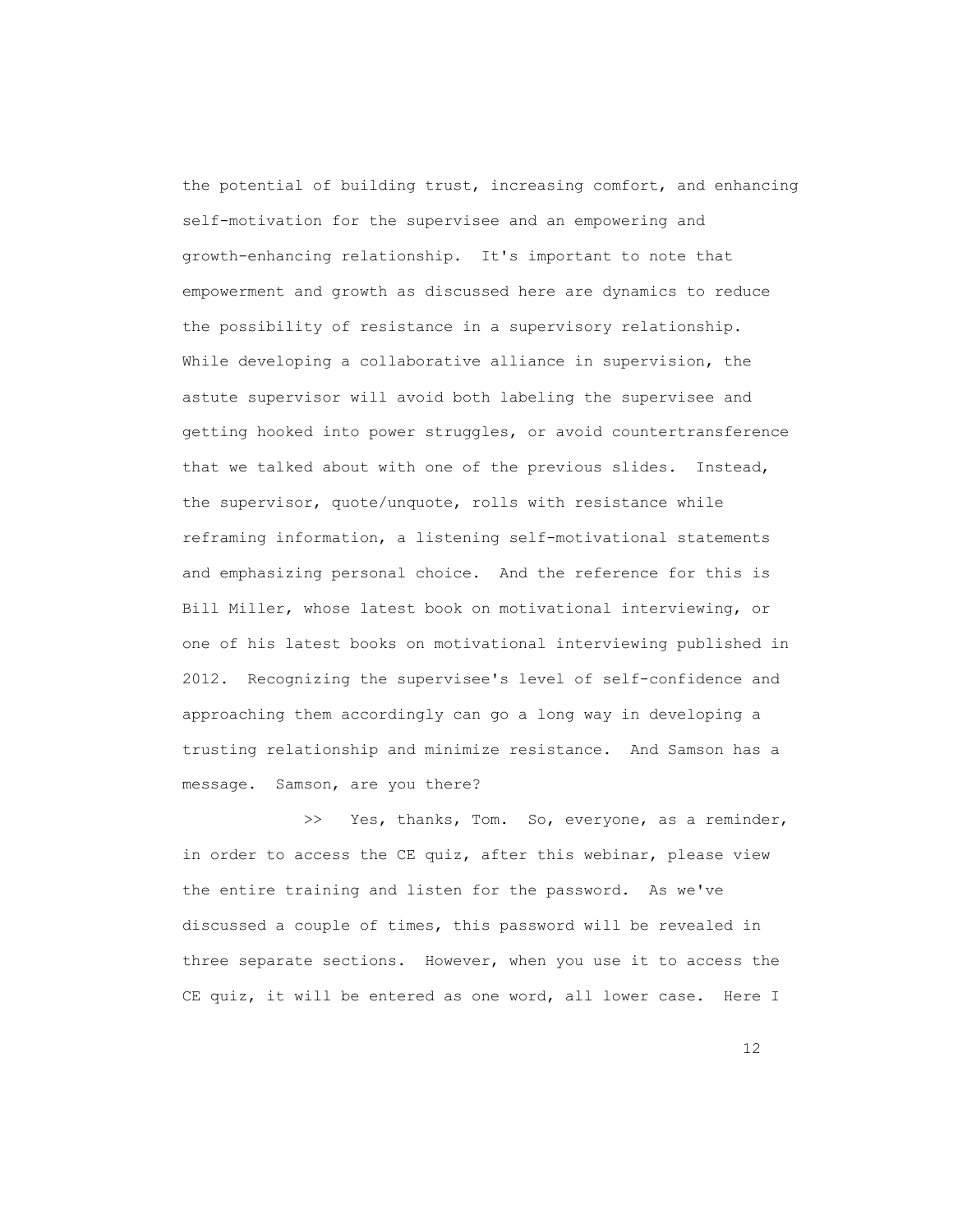the potential of building trust, increasing comfort, and enhancing self-motivation for the supervisee and an empowering and growth-enhancing relationship. It's important to note that empowerment and growth as discussed here are dynamics to reduce the possibility of resistance in a supervisory relationship. While developing a collaborative alliance in supervision, the astute supervisor will avoid both labeling the supervisee and getting hooked into power struggles, or avoid countertransference that we talked about with one of the previous slides. Instead, the supervisor, quote/unquote, rolls with resistance while reframing information, a listening self-motivational statements and emphasizing personal choice. And the reference for this is Bill Miller, whose latest book on motivational interviewing, or one of his latest books on motivational interviewing published in 2012. Recognizing the supervisee's level of self-confidence and approaching them accordingly can go a long way in developing a trusting relationship and minimize resistance. And Samson has a message. Samson, are you there?

>> Yes, thanks, Tom. So, everyone, as a reminder, in order to access the CE quiz, after this webinar, please view the entire training and listen for the password. As we've discussed a couple of times, this password will be revealed in three separate sections. However, when you use it to access the CE quiz, it will be entered as one word, all lower case. Here I

12 and 22 and 23 and 24 and 25 and 26 and 26 and 26 and 26 and 26 and 26 and 26 and 26 and 26 and 26 and 26 and 26 and 26 and 26 and 26 and 26 and 26 and 26 and 26 and 26 and 26 and 26 and 26 and 26 and 26 and 26 and 26 an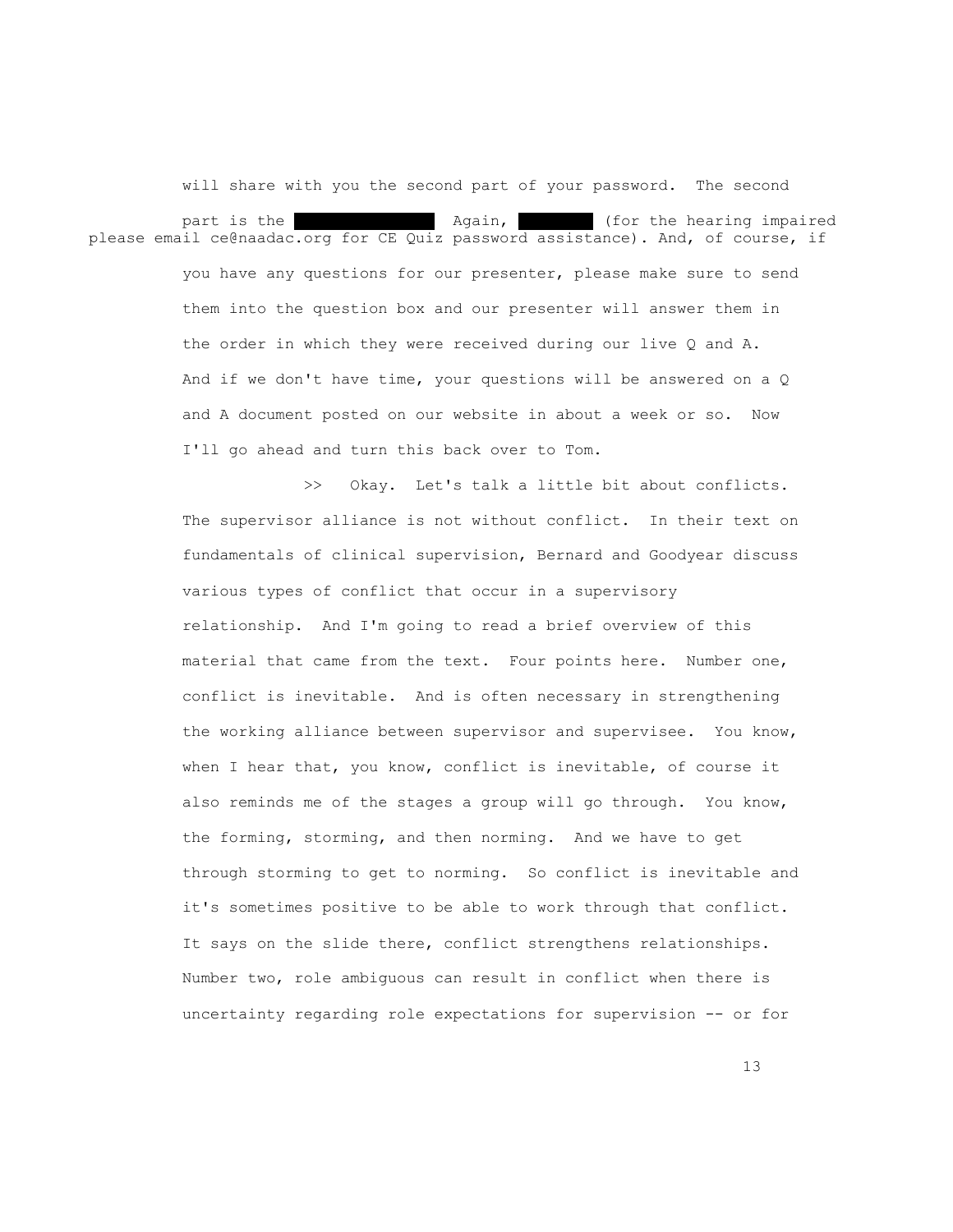will share with you the second part of your password. The second part is the insect in again, including the hearing impaired please email ce@naadac.org for CE Quiz password assistance). And, of course, if you have any questions for our presenter, please make sure to send them into the question box and our presenter will answer them in the order in which they were received during our live Q and A. And if we don't have time, your questions will be answered on a Q and A document posted on our website in about a week or so. Now I'll go ahead and turn this back over to Tom.

> >> Okay. Let's talk a little bit about conflicts. The supervisor alliance is not without conflict. In their text on fundamentals of clinical supervision, Bernard and Goodyear discuss various types of conflict that occur in a supervisory relationship. And I'm going to read a brief overview of this material that came from the text. Four points here. Number one, conflict is inevitable. And is often necessary in strengthening the working alliance between supervisor and supervisee. You know, when I hear that, you know, conflict is inevitable, of course it also reminds me of the stages a group will go through. You know, the forming, storming, and then norming. And we have to get through storming to get to norming. So conflict is inevitable and it's sometimes positive to be able to work through that conflict. It says on the slide there, conflict strengthens relationships. Number two, role ambiguous can result in conflict when there is uncertainty regarding role expectations for supervision -- or for

13<sup>3</sup>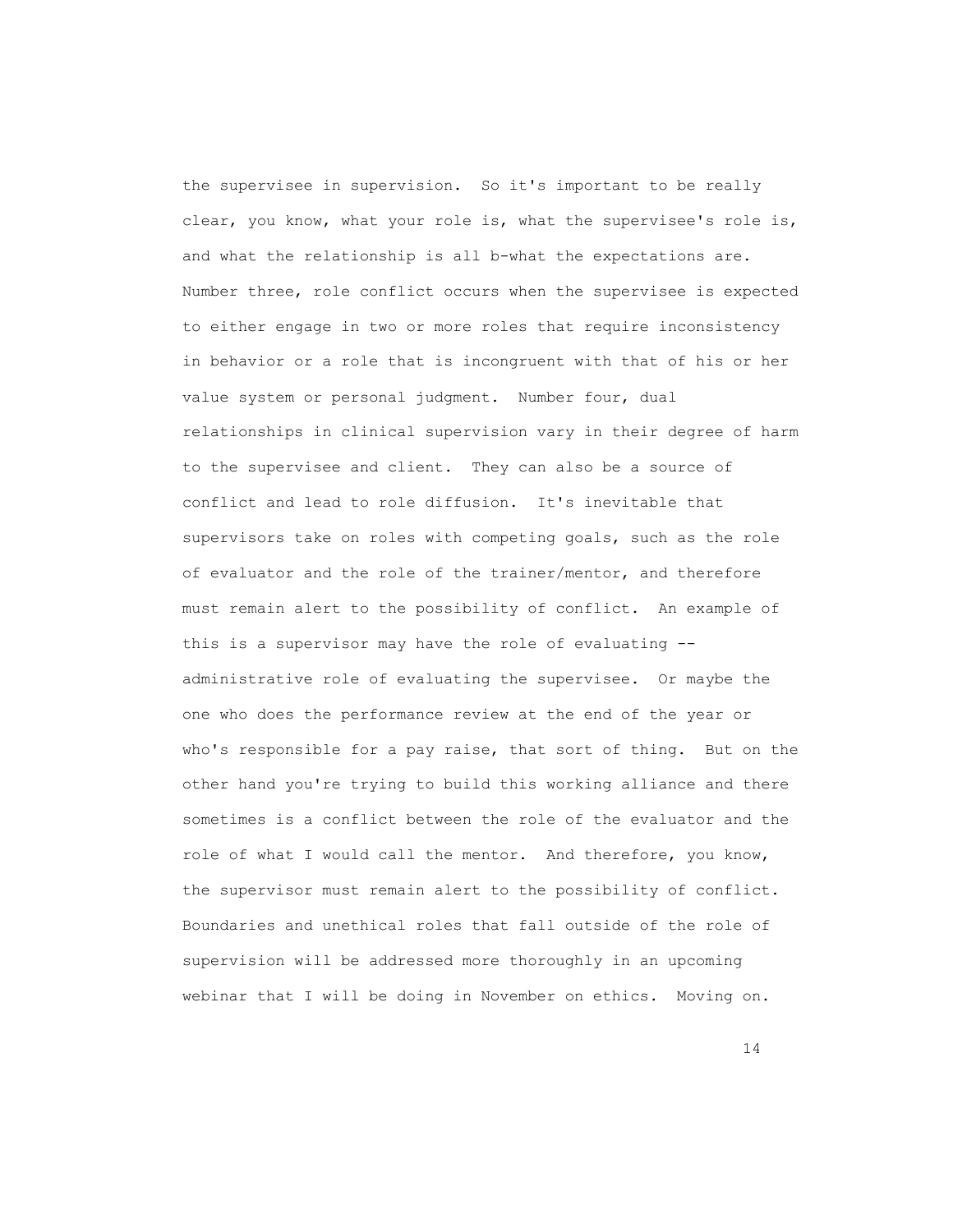the supervisee in supervision. So it's important to be really clear, you know, what your role is, what the supervisee's role is, and what the relationship is all b-what the expectations are. Number three, role conflict occurs when the supervisee is expected to either engage in two or more roles that require inconsistency in behavior or a role that is incongruent with that of his or her value system or personal judgment. Number four, dual relationships in clinical supervision vary in their degree of harm to the supervisee and client. They can also be a source of conflict and lead to role diffusion. It's inevitable that supervisors take on roles with competing goals, such as the role of evaluator and the role of the trainer/mentor, and therefore must remain alert to the possibility of conflict. An example of this is a supervisor may have the role of evaluating - administrative role of evaluating the supervisee. Or maybe the one who does the performance review at the end of the year or who's responsible for a pay raise, that sort of thing. But on the other hand you're trying to build this working alliance and there sometimes is a conflict between the role of the evaluator and the role of what I would call the mentor. And therefore, you know, the supervisor must remain alert to the possibility of conflict. Boundaries and unethical roles that fall outside of the role of supervision will be addressed more thoroughly in an upcoming webinar that I will be doing in November on ethics. Moving on.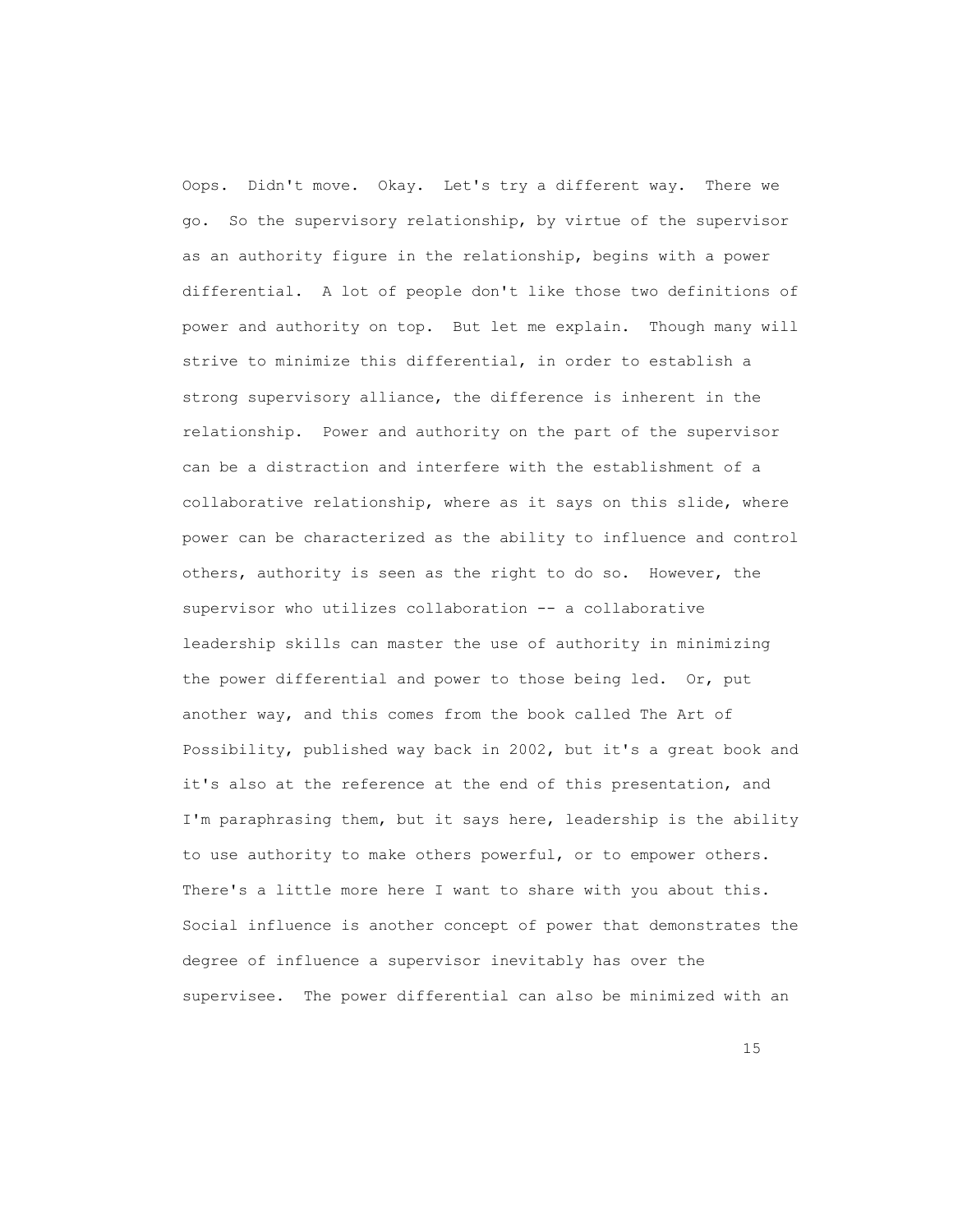Oops. Didn't move. Okay. Let's try a different way. There we go. So the supervisory relationship, by virtue of the supervisor as an authority figure in the relationship, begins with a power differential. A lot of people don't like those two definitions of power and authority on top. But let me explain. Though many will strive to minimize this differential, in order to establish a strong supervisory alliance, the difference is inherent in the relationship. Power and authority on the part of the supervisor can be a distraction and interfere with the establishment of a collaborative relationship, where as it says on this slide, where power can be characterized as the ability to influence and control others, authority is seen as the right to do so. However, the supervisor who utilizes collaboration -- a collaborative leadership skills can master the use of authority in minimizing the power differential and power to those being led. Or, put another way, and this comes from the book called The Art of Possibility, published way back in 2002, but it's a great book and it's also at the reference at the end of this presentation, and I'm paraphrasing them, but it says here, leadership is the ability to use authority to make others powerful, or to empower others. There's a little more here I want to share with you about this. Social influence is another concept of power that demonstrates the degree of influence a supervisor inevitably has over the supervisee. The power differential can also be minimized with an

15 and 20 and 20 and 20 and 20 and 20 and 20 and 20 and 20 and 20 and 20 and 20 and 20 and 20 and 20 and 20 and 20 and 20 and 20 and 20 and 20 and 20 and 20 and 20 and 20 and 20 and 20 and 20 and 20 and 20 and 20 and 20 an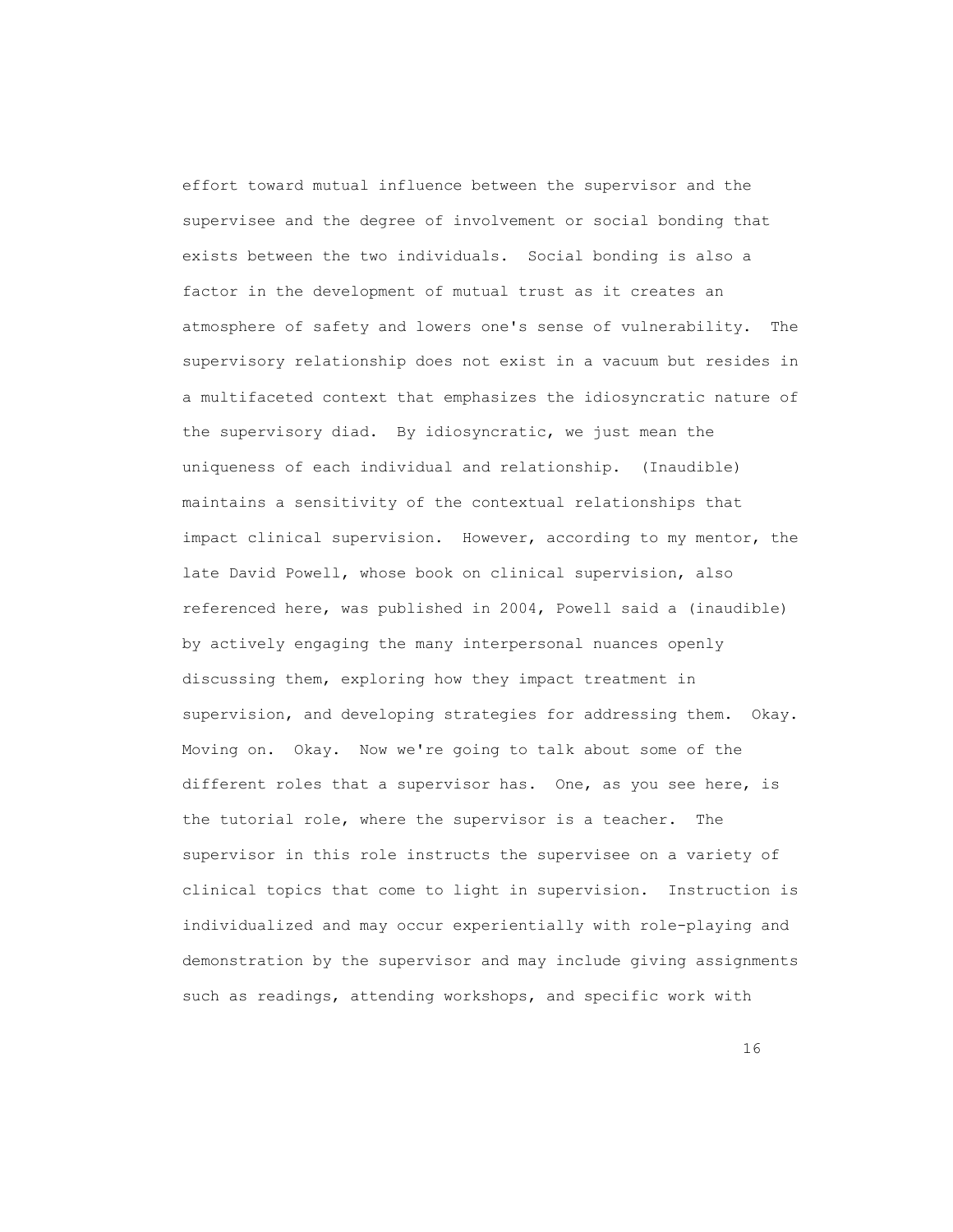effort toward mutual influence between the supervisor and the supervisee and the degree of involvement or social bonding that exists between the two individuals. Social bonding is also a factor in the development of mutual trust as it creates an atmosphere of safety and lowers one's sense of vulnerability. The supervisory relationship does not exist in a vacuum but resides in a multifaceted context that emphasizes the idiosyncratic nature of the supervisory diad. By idiosyncratic, we just mean the uniqueness of each individual and relationship. (Inaudible) maintains a sensitivity of the contextual relationships that impact clinical supervision. However, according to my mentor, the late David Powell, whose book on clinical supervision, also referenced here, was published in 2004, Powell said a (inaudible) by actively engaging the many interpersonal nuances openly discussing them, exploring how they impact treatment in supervision, and developing strategies for addressing them. Okay. Moving on. Okay. Now we're going to talk about some of the different roles that a supervisor has. One, as you see here, is the tutorial role, where the supervisor is a teacher. The supervisor in this role instructs the supervisee on a variety of clinical topics that come to light in supervision. Instruction is individualized and may occur experientially with role-playing and demonstration by the supervisor and may include giving assignments such as readings, attending workshops, and specific work with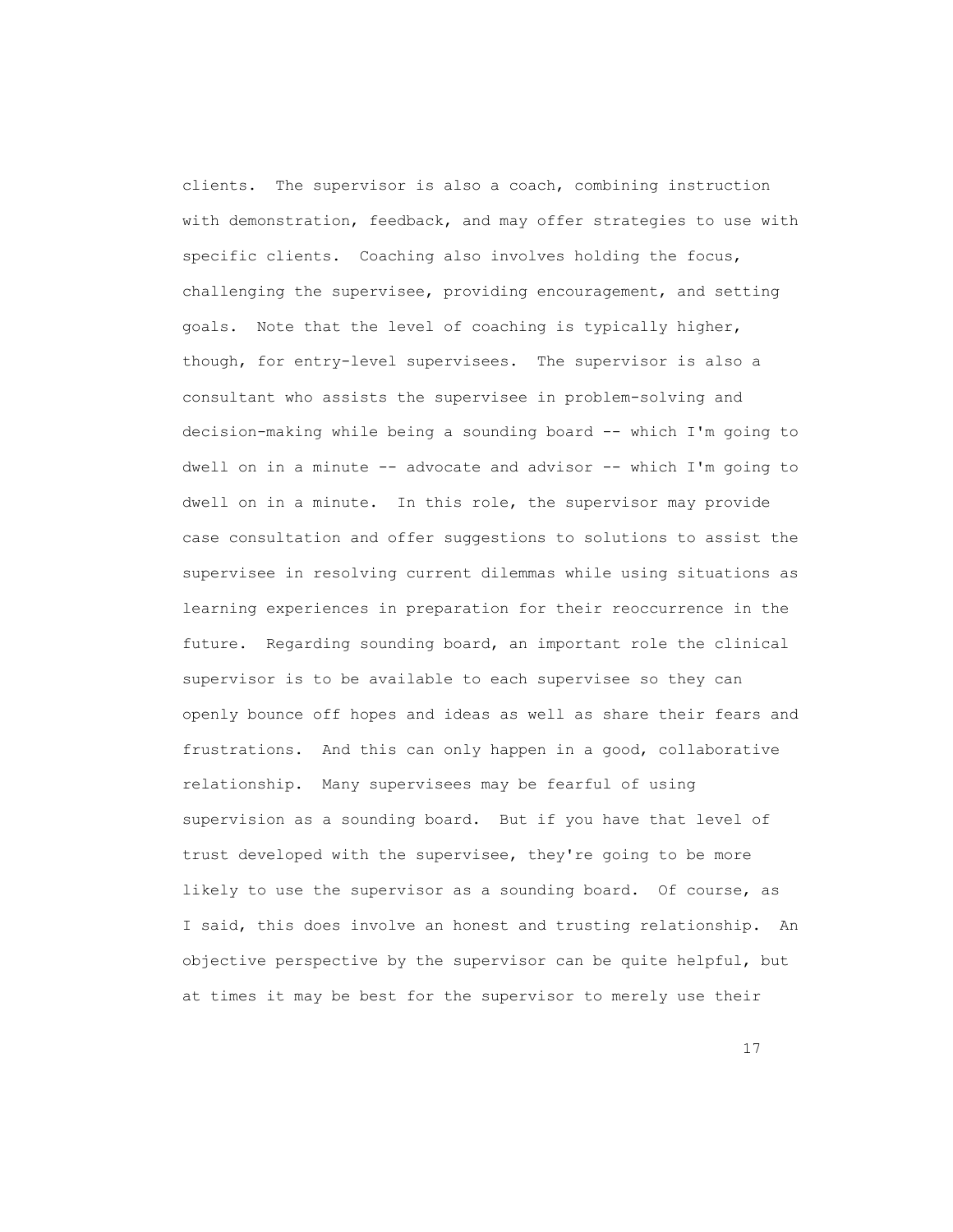clients. The supervisor is also a coach, combining instruction with demonstration, feedback, and may offer strategies to use with specific clients. Coaching also involves holding the focus, challenging the supervisee, providing encouragement, and setting goals. Note that the level of coaching is typically higher, though, for entry-level supervisees. The supervisor is also a consultant who assists the supervisee in problem-solving and decision-making while being a sounding board -- which I'm going to dwell on in a minute -- advocate and advisor -- which I'm going to dwell on in a minute. In this role, the supervisor may provide case consultation and offer suggestions to solutions to assist the supervisee in resolving current dilemmas while using situations as learning experiences in preparation for their reoccurrence in the future. Regarding sounding board, an important role the clinical supervisor is to be available to each supervisee so they can openly bounce off hopes and ideas as well as share their fears and frustrations. And this can only happen in a good, collaborative relationship. Many supervisees may be fearful of using supervision as a sounding board. But if you have that level of trust developed with the supervisee, they're going to be more likely to use the supervisor as a sounding board. Of course, as I said, this does involve an honest and trusting relationship. An objective perspective by the supervisor can be quite helpful, but at times it may be best for the supervisor to merely use their

17<sup>2</sup>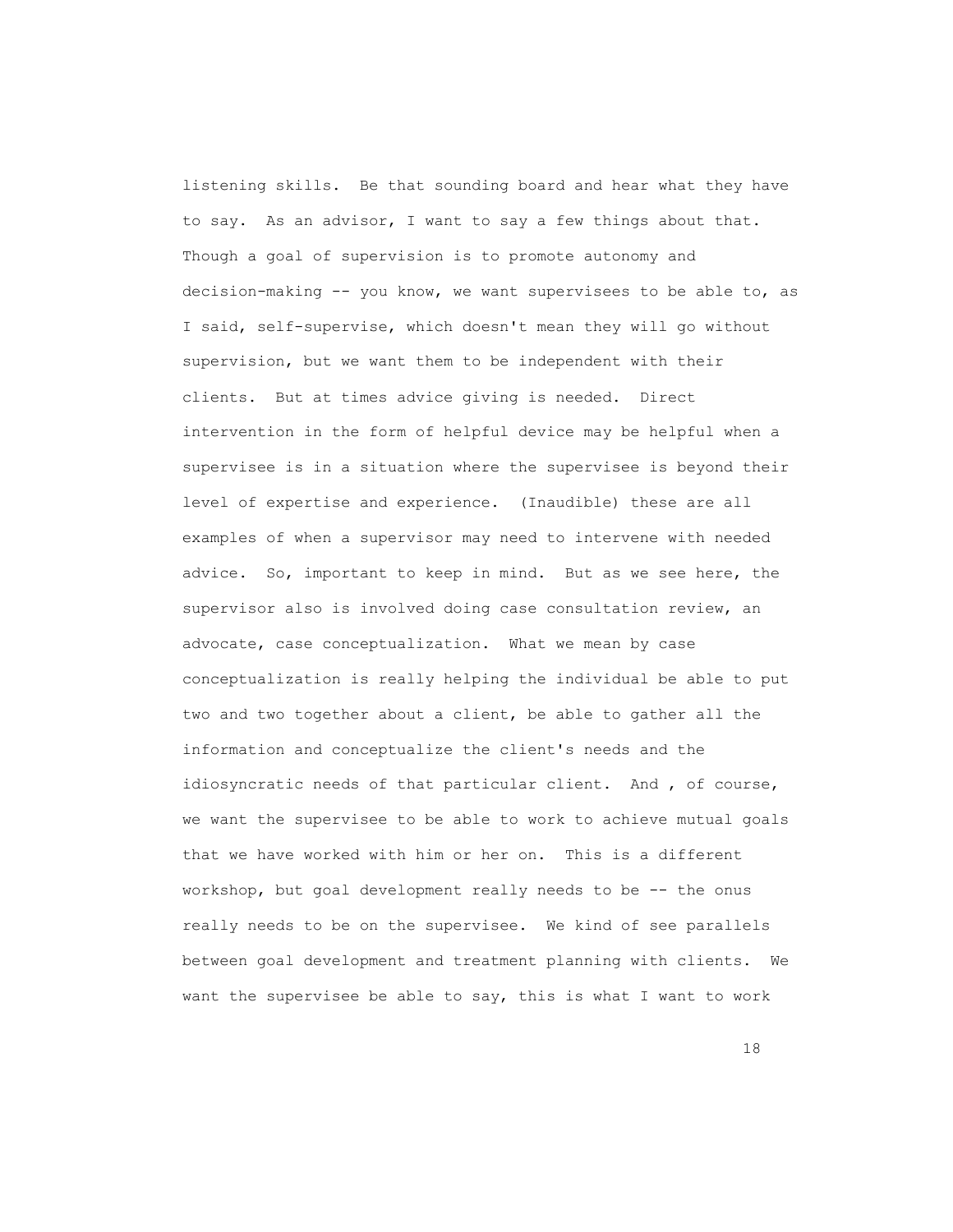listening skills. Be that sounding board and hear what they have to say. As an advisor, I want to say a few things about that. Though a goal of supervision is to promote autonomy and decision-making -- you know, we want supervisees to be able to, as I said, self-supervise, which doesn't mean they will go without supervision, but we want them to be independent with their clients. But at times advice giving is needed. Direct intervention in the form of helpful device may be helpful when a supervisee is in a situation where the supervisee is beyond their level of expertise and experience. (Inaudible) these are all examples of when a supervisor may need to intervene with needed advice. So, important to keep in mind. But as we see here, the supervisor also is involved doing case consultation review, an advocate, case conceptualization. What we mean by case conceptualization is really helping the individual be able to put two and two together about a client, be able to gather all the information and conceptualize the client's needs and the idiosyncratic needs of that particular client. And , of course, we want the supervisee to be able to work to achieve mutual goals that we have worked with him or her on. This is a different workshop, but goal development really needs to be -- the onus really needs to be on the supervisee. We kind of see parallels between goal development and treatment planning with clients. We want the supervisee be able to say, this is what I want to work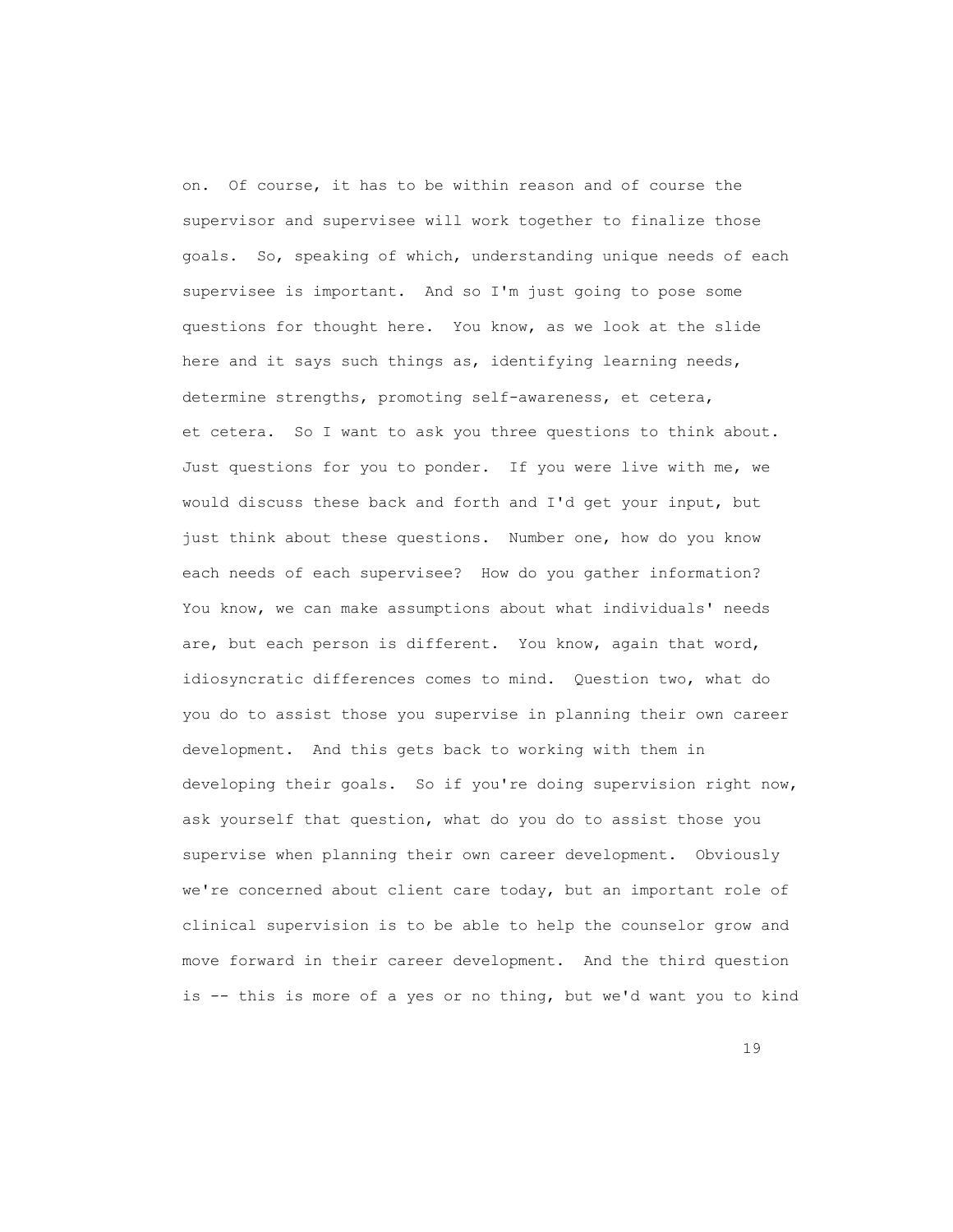on. Of course, it has to be within reason and of course the supervisor and supervisee will work together to finalize those goals. So, speaking of which, understanding unique needs of each supervisee is important. And so I'm just going to pose some questions for thought here. You know, as we look at the slide here and it says such things as, identifying learning needs, determine strengths, promoting self-awareness, et cetera, et cetera. So I want to ask you three questions to think about. Just questions for you to ponder. If you were live with me, we would discuss these back and forth and I'd get your input, but just think about these questions. Number one, how do you know each needs of each supervisee? How do you gather information? You know, we can make assumptions about what individuals' needs are, but each person is different. You know, again that word, idiosyncratic differences comes to mind. Question two, what do you do to assist those you supervise in planning their own career development. And this gets back to working with them in developing their goals. So if you're doing supervision right now, ask yourself that question, what do you do to assist those you supervise when planning their own career development. Obviously we're concerned about client care today, but an important role of clinical supervision is to be able to help the counselor grow and move forward in their career development. And the third question is -- this is more of a yes or no thing, but we'd want you to kind

19 and 19 and 19 and 19 and 19 and 19 and 19 and 19 and 19 and 19 and 19 and 19 and 19 and 19 and 19 and 19 an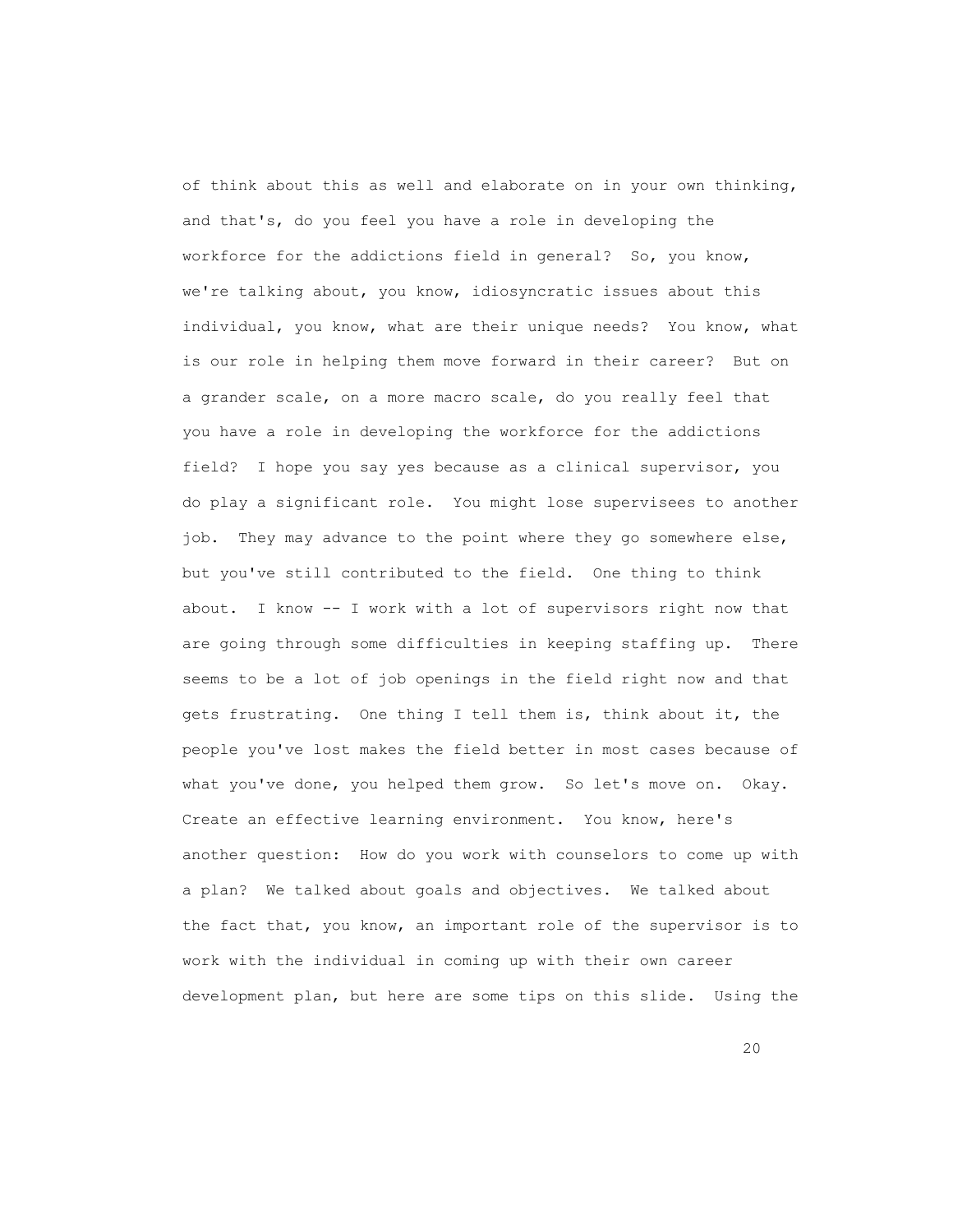of think about this as well and elaborate on in your own thinking, and that's, do you feel you have a role in developing the workforce for the addictions field in general? So, you know, we're talking about, you know, idiosyncratic issues about this individual, you know, what are their unique needs? You know, what is our role in helping them move forward in their career? But on a grander scale, on a more macro scale, do you really feel that you have a role in developing the workforce for the addictions field? I hope you say yes because as a clinical supervisor, you do play a significant role. You might lose supervisees to another job. They may advance to the point where they go somewhere else, but you've still contributed to the field. One thing to think about. I know -- I work with a lot of supervisors right now that are going through some difficulties in keeping staffing up. There seems to be a lot of job openings in the field right now and that gets frustrating. One thing I tell them is, think about it, the people you've lost makes the field better in most cases because of what you've done, you helped them grow. So let's move on. Okay. Create an effective learning environment. You know, here's another question: How do you work with counselors to come up with a plan? We talked about goals and objectives. We talked about the fact that, you know, an important role of the supervisor is to work with the individual in coming up with their own career development plan, but here are some tips on this slide. Using the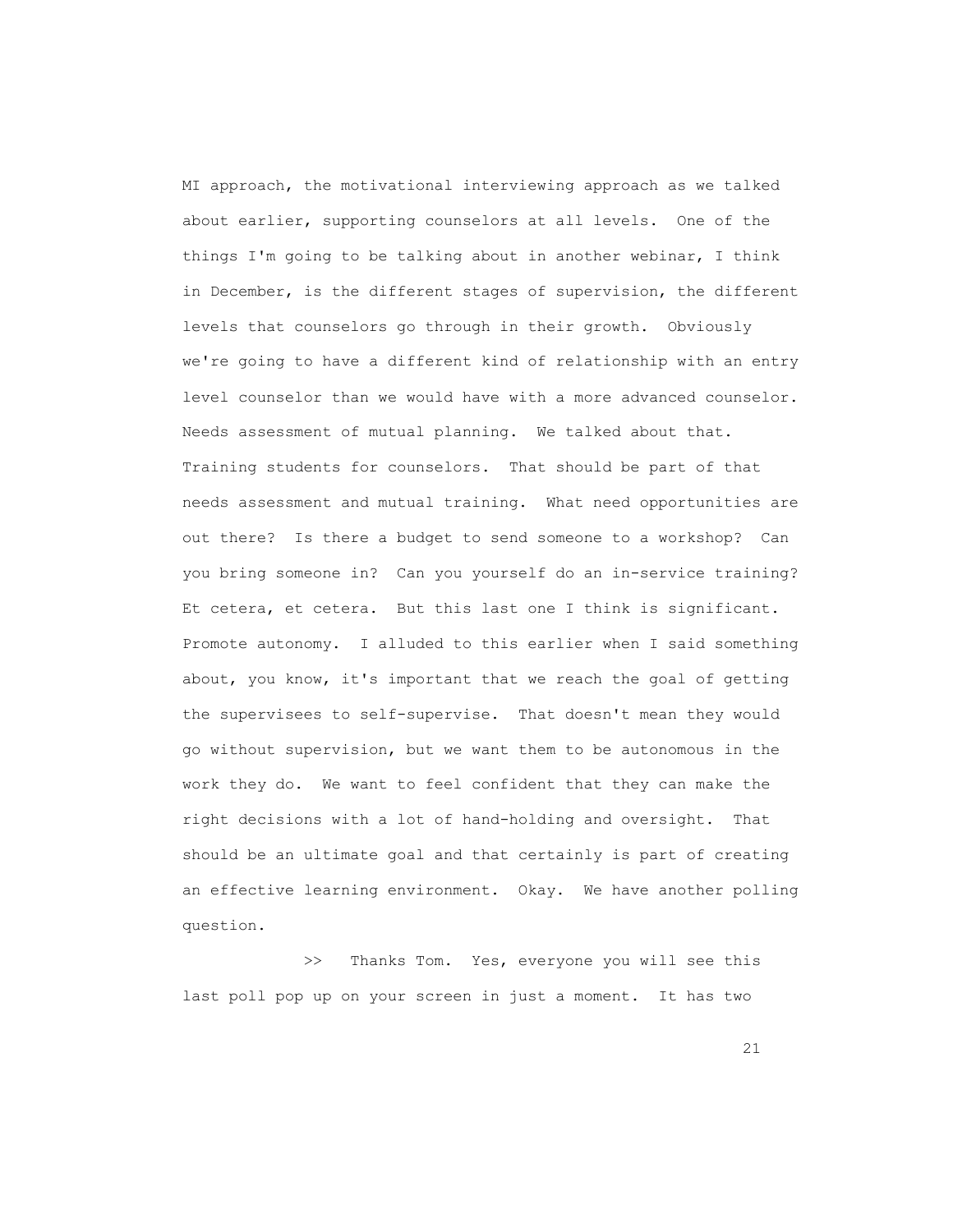MI approach, the motivational interviewing approach as we talked about earlier, supporting counselors at all levels. One of the things I'm going to be talking about in another webinar, I think in December, is the different stages of supervision, the different levels that counselors go through in their growth. Obviously we're going to have a different kind of relationship with an entry level counselor than we would have with a more advanced counselor. Needs assessment of mutual planning. We talked about that. Training students for counselors. That should be part of that needs assessment and mutual training. What need opportunities are out there? Is there a budget to send someone to a workshop? Can you bring someone in? Can you yourself do an in-service training? Et cetera, et cetera. But this last one I think is significant. Promote autonomy. I alluded to this earlier when I said something about, you know, it's important that we reach the goal of getting the supervisees to self-supervise. That doesn't mean they would go without supervision, but we want them to be autonomous in the work they do. We want to feel confident that they can make the right decisions with a lot of hand-holding and oversight. That should be an ultimate goal and that certainly is part of creating an effective learning environment. Okay. We have another polling question.

>> Thanks Tom. Yes, everyone you will see this last poll pop up on your screen in just a moment. It has two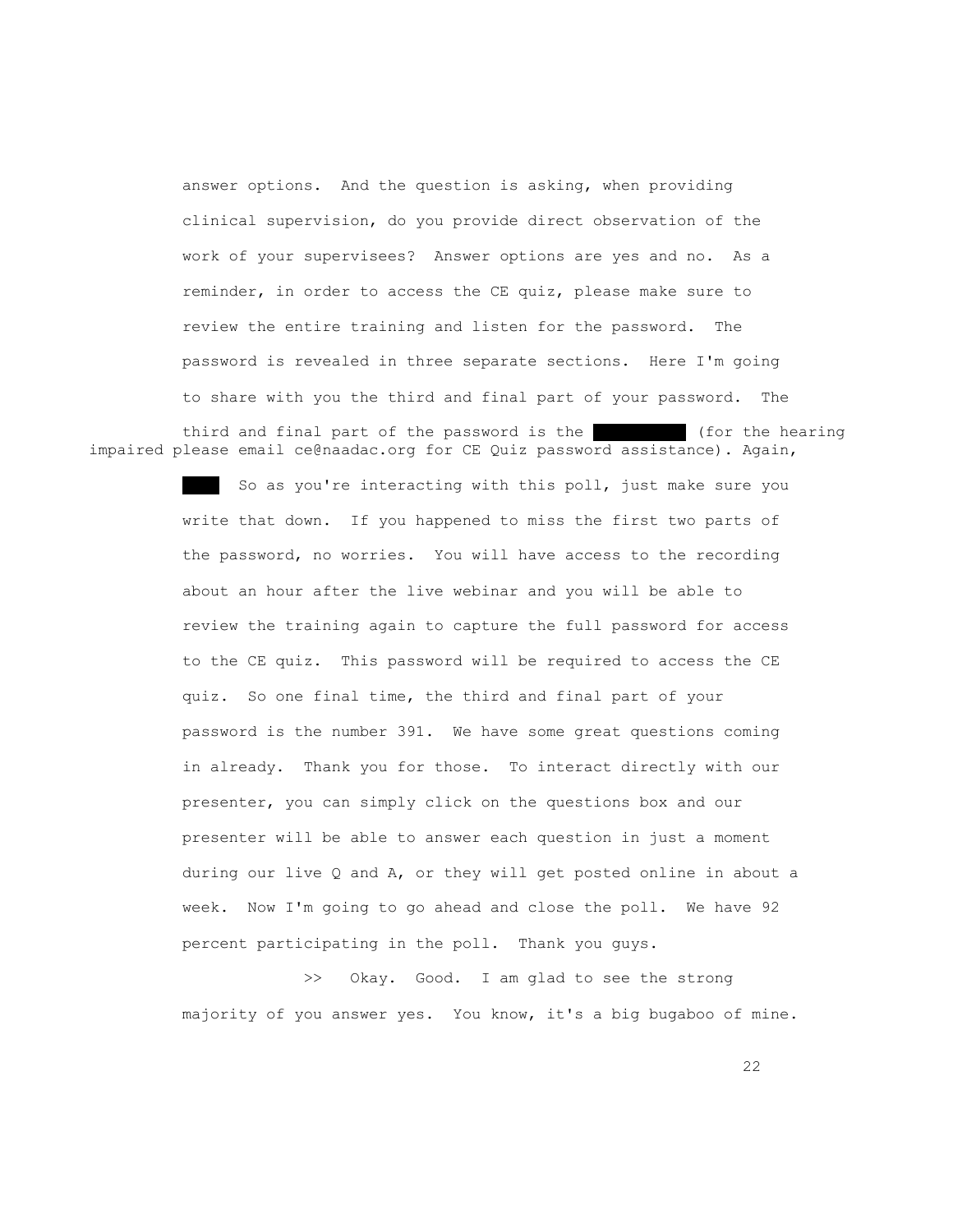answer options. And the question is asking, when providing clinical supervision, do you provide direct observation of the work of your supervisees? Answer options are yes and no. As a reminder, in order to access the CE quiz, please make sure to review the entire training and listen for the password. The password is revealed in three separate sections. Here I'm going to share with you the third and final part of your password. The

third and final part of the password is the  $\overline{\hspace{1cm}}$  (for the hearing impaired please email ce@naadac.org for CE Quiz password assistance). Again,

> So as you're interacting with this poll, just make sure you write that down. If you happened to miss the first two parts of the password, no worries. You will have access to the recording about an hour after the live webinar and you will be able to review the training again to capture the full password for access to the CE quiz. This password will be required to access the CE quiz. So one final time, the third and final part of your password is the number 391. We have some great questions coming in already. Thank you for those. To interact directly with our presenter, you can simply click on the questions box and our presenter will be able to answer each question in just a moment during our live Q and A, or they will get posted online in about a week. Now I'm going to go ahead and close the poll. We have 92 percent participating in the poll. Thank you guys.

> >> Okay. Good. I am glad to see the strong majority of you answer yes. You know, it's a big bugaboo of mine.

22 and 22 and 23 and 23 and 23 and 23 and 23 and 23 and 23 and 23 and 23 and 23 and 23 and 23 and 23 and 23 and 23 and 24 and 25 and 25 and 26 and 26 and 26 and 26 and 26 and 26 and 26 and 26 and 26 and 26 and 26 and 26 an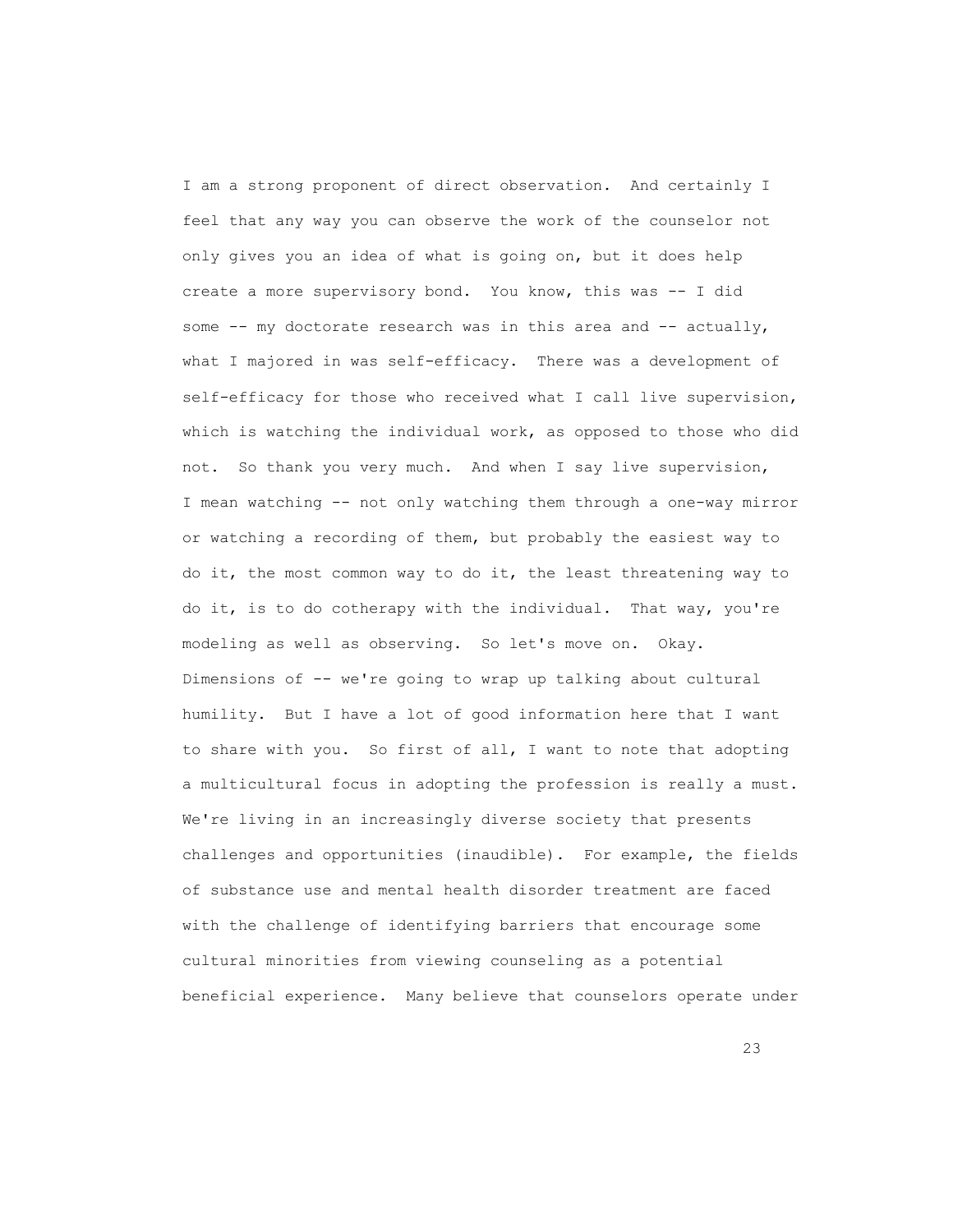I am a strong proponent of direct observation. And certainly I feel that any way you can observe the work of the counselor not only gives you an idea of what is going on, but it does help create a more supervisory bond. You know, this was -- I did some  $--$  my doctorate research was in this area and  $--$  actually, what I majored in was self-efficacy. There was a development of self-efficacy for those who received what I call live supervision, which is watching the individual work, as opposed to those who did not. So thank you very much. And when I say live supervision, I mean watching -- not only watching them through a one-way mirror or watching a recording of them, but probably the easiest way to do it, the most common way to do it, the least threatening way to do it, is to do cotherapy with the individual. That way, you're modeling as well as observing. So let's move on. Okay. Dimensions of -- we're going to wrap up talking about cultural humility. But I have a lot of good information here that I want to share with you. So first of all, I want to note that adopting a multicultural focus in adopting the profession is really a must. We're living in an increasingly diverse society that presents challenges and opportunities (inaudible). For example, the fields of substance use and mental health disorder treatment are faced with the challenge of identifying barriers that encourage some cultural minorities from viewing counseling as a potential beneficial experience. Many believe that counselors operate under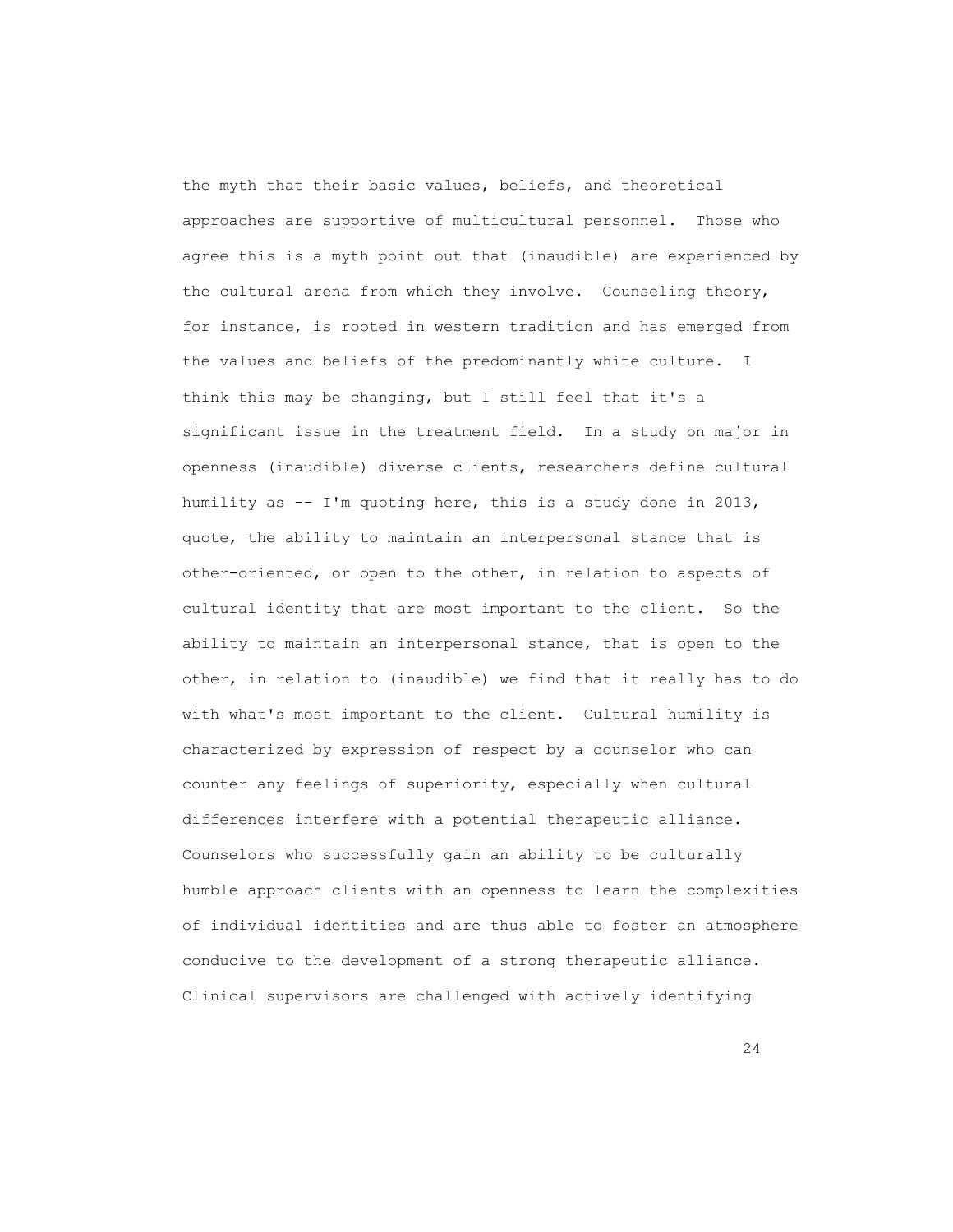the myth that their basic values, beliefs, and theoretical approaches are supportive of multicultural personnel. Those who agree this is a myth point out that (inaudible) are experienced by the cultural arena from which they involve. Counseling theory, for instance, is rooted in western tradition and has emerged from the values and beliefs of the predominantly white culture. I think this may be changing, but I still feel that it's a significant issue in the treatment field. In a study on major in openness (inaudible) diverse clients, researchers define cultural humility as -- I'm quoting here, this is a study done in 2013, quote, the ability to maintain an interpersonal stance that is other-oriented, or open to the other, in relation to aspects of cultural identity that are most important to the client. So the ability to maintain an interpersonal stance, that is open to the other, in relation to (inaudible) we find that it really has to do with what's most important to the client. Cultural humility is characterized by expression of respect by a counselor who can counter any feelings of superiority, especially when cultural differences interfere with a potential therapeutic alliance. Counselors who successfully gain an ability to be culturally humble approach clients with an openness to learn the complexities of individual identities and are thus able to foster an atmosphere conducive to the development of a strong therapeutic alliance. Clinical supervisors are challenged with actively identifying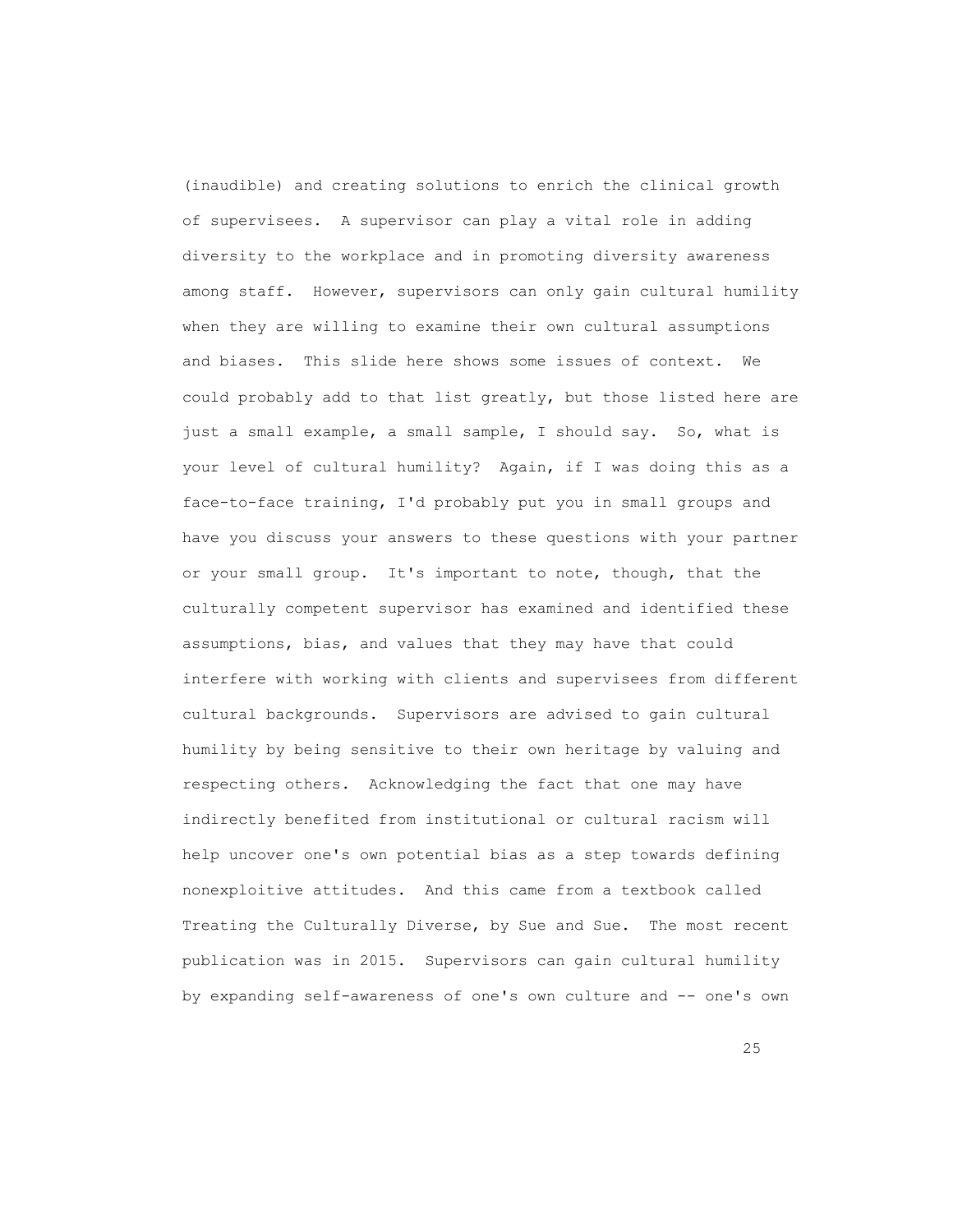(inaudible) and creating solutions to enrich the clinical growth of supervisees. A supervisor can play a vital role in adding diversity to the workplace and in promoting diversity awareness among staff. However, supervisors can only gain cultural humility when they are willing to examine their own cultural assumptions and biases. This slide here shows some issues of context. We could probably add to that list greatly, but those listed here are just a small example, a small sample, I should say. So, what is your level of cultural humility? Again, if I was doing this as a face-to-face training, I'd probably put you in small groups and have you discuss your answers to these questions with your partner or your small group. It's important to note, though, that the culturally competent supervisor has examined and identified these assumptions, bias, and values that they may have that could interfere with working with clients and supervisees from different cultural backgrounds. Supervisors are advised to gain cultural humility by being sensitive to their own heritage by valuing and respecting others. Acknowledging the fact that one may have indirectly benefited from institutional or cultural racism will help uncover one's own potential bias as a step towards defining nonexploitive attitudes. And this came from a textbook called Treating the Culturally Diverse, by Sue and Sue. The most recent publication was in 2015. Supervisors can gain cultural humility by expanding self-awareness of one's own culture and -- one's own

<u>25 and 25</u>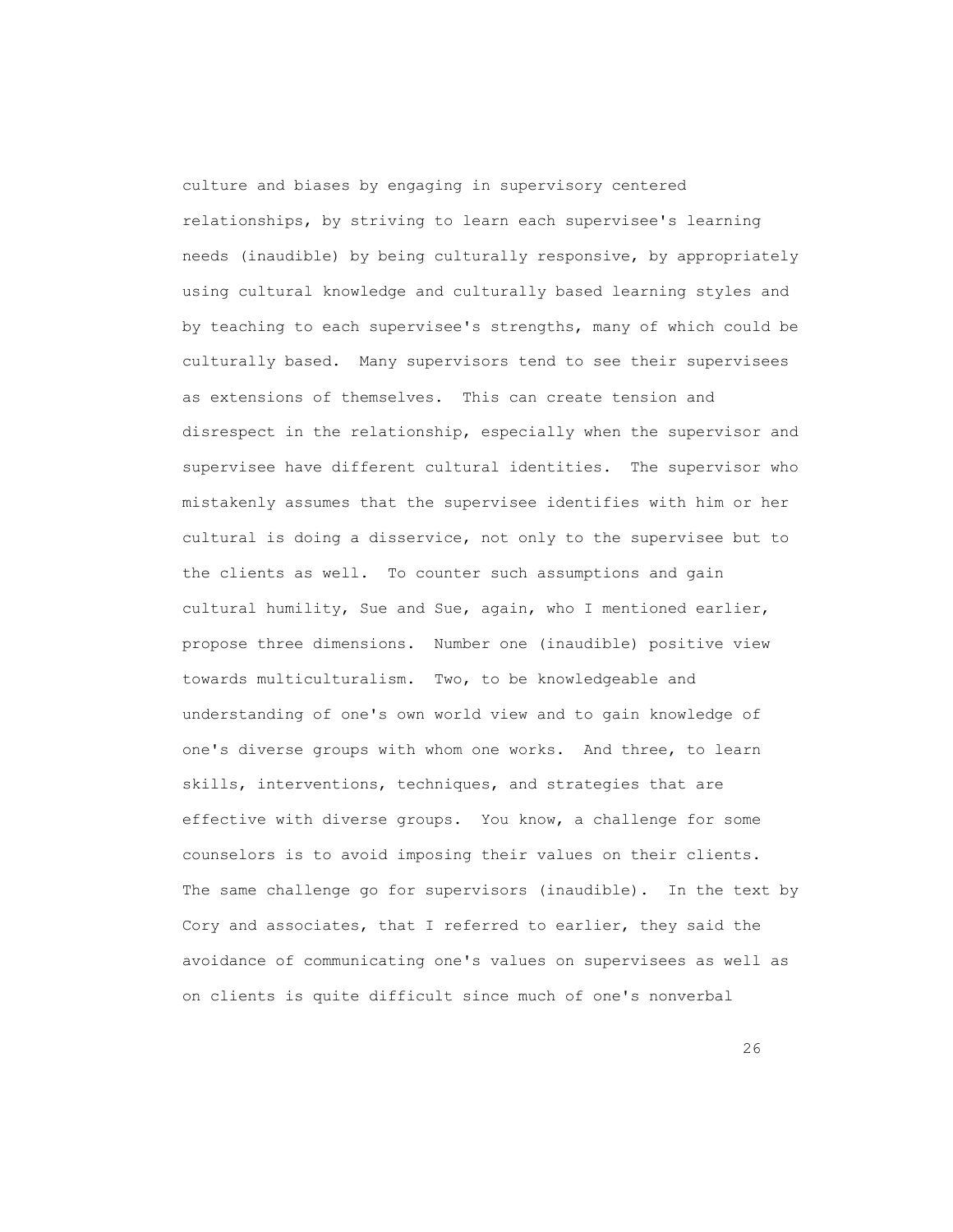culture and biases by engaging in supervisory centered relationships, by striving to learn each supervisee's learning needs (inaudible) by being culturally responsive, by appropriately using cultural knowledge and culturally based learning styles and by teaching to each supervisee's strengths, many of which could be culturally based. Many supervisors tend to see their supervisees as extensions of themselves. This can create tension and disrespect in the relationship, especially when the supervisor and supervisee have different cultural identities. The supervisor who mistakenly assumes that the supervisee identifies with him or her cultural is doing a disservice, not only to the supervisee but to the clients as well. To counter such assumptions and gain cultural humility, Sue and Sue, again, who I mentioned earlier, propose three dimensions. Number one (inaudible) positive view towards multiculturalism. Two, to be knowledgeable and understanding of one's own world view and to gain knowledge of one's diverse groups with whom one works. And three, to learn skills, interventions, techniques, and strategies that are effective with diverse groups. You know, a challenge for some counselors is to avoid imposing their values on their clients. The same challenge go for supervisors (inaudible). In the text by Cory and associates, that I referred to earlier, they said the avoidance of communicating one's values on supervisees as well as on clients is quite difficult since much of one's nonverbal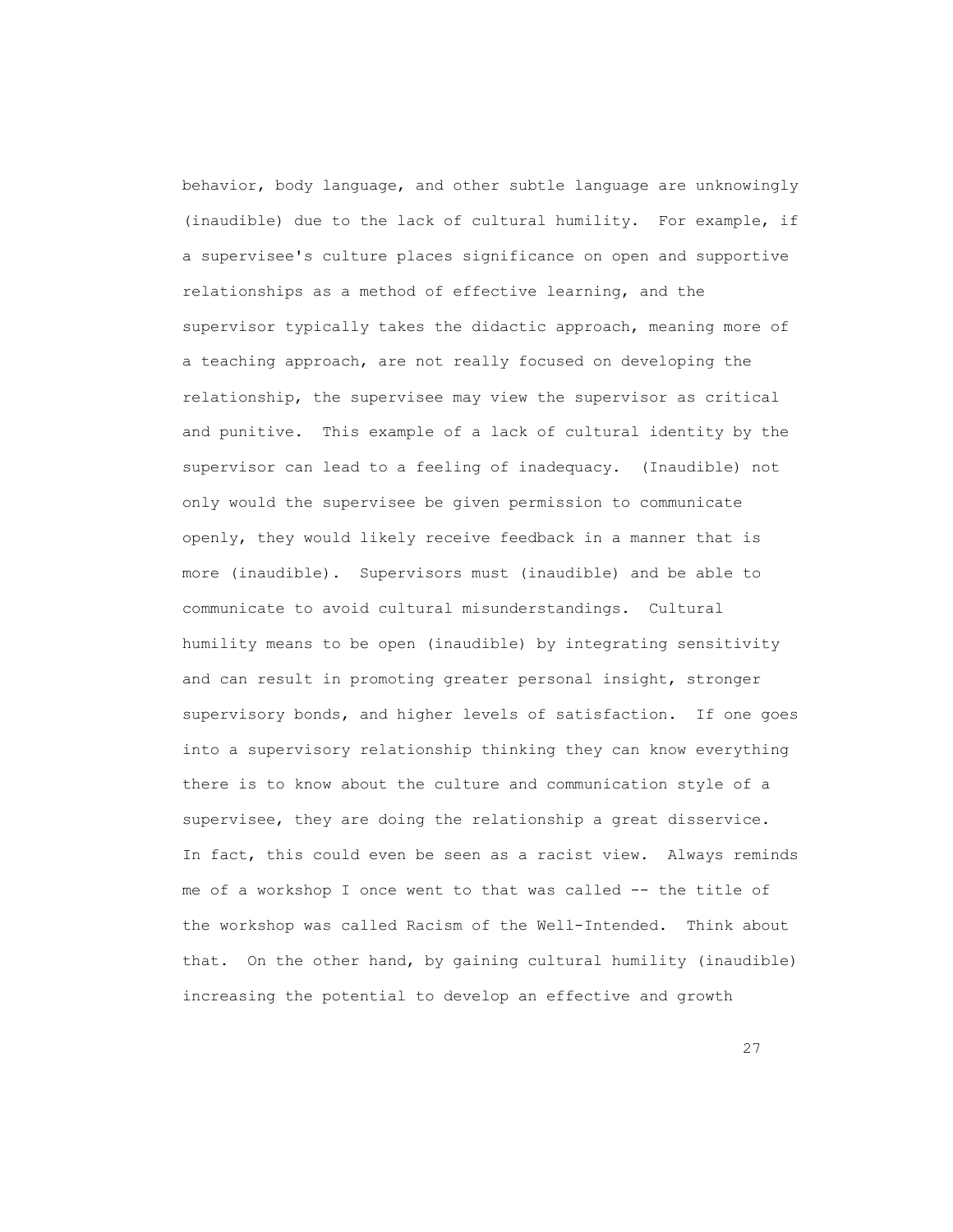behavior, body language, and other subtle language are unknowingly (inaudible) due to the lack of cultural humility. For example, if a supervisee's culture places significance on open and supportive relationships as a method of effective learning, and the supervisor typically takes the didactic approach, meaning more of a teaching approach, are not really focused on developing the relationship, the supervisee may view the supervisor as critical and punitive. This example of a lack of cultural identity by the supervisor can lead to a feeling of inadequacy. (Inaudible) not only would the supervisee be given permission to communicate openly, they would likely receive feedback in a manner that is more (inaudible). Supervisors must (inaudible) and be able to communicate to avoid cultural misunderstandings. Cultural humility means to be open (inaudible) by integrating sensitivity and can result in promoting greater personal insight, stronger supervisory bonds, and higher levels of satisfaction. If one goes into a supervisory relationship thinking they can know everything there is to know about the culture and communication style of a supervisee, they are doing the relationship a great disservice. In fact, this could even be seen as a racist view. Always reminds me of a workshop I once went to that was called -- the title of the workshop was called Racism of the Well-Intended. Think about that. On the other hand, by gaining cultural humility (inaudible) increasing the potential to develop an effective and growth

27 and 27 and 27 and 27 and 27 and 27 and 27 and 27 and 27 and 27 and 27 and 27 and 27 and 27 and 27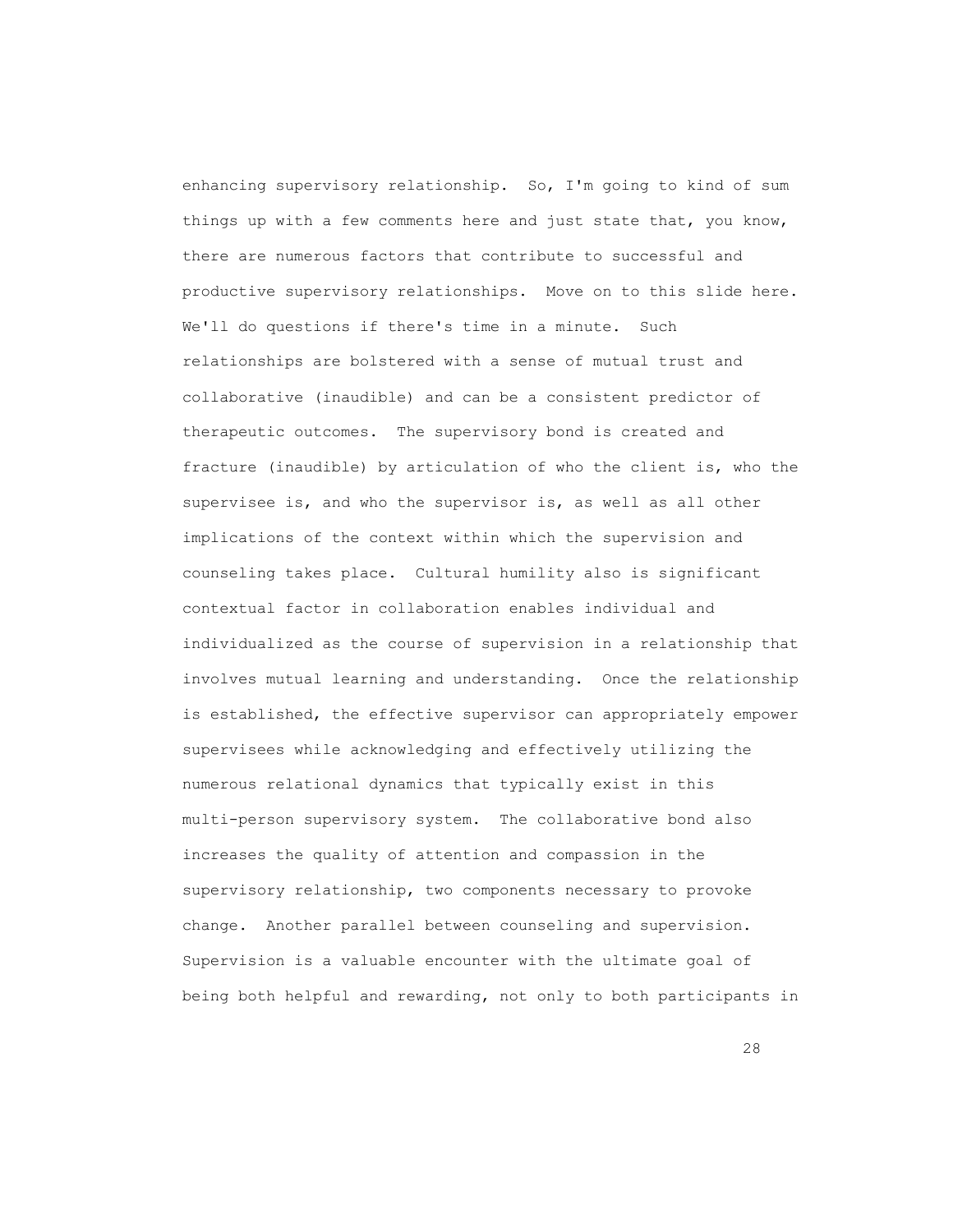enhancing supervisory relationship. So, I'm going to kind of sum things up with a few comments here and just state that, you know, there are numerous factors that contribute to successful and productive supervisory relationships. Move on to this slide here. We'll do questions if there's time in a minute. Such relationships are bolstered with a sense of mutual trust and collaborative (inaudible) and can be a consistent predictor of therapeutic outcomes. The supervisory bond is created and fracture (inaudible) by articulation of who the client is, who the supervisee is, and who the supervisor is, as well as all other implications of the context within which the supervision and counseling takes place. Cultural humility also is significant contextual factor in collaboration enables individual and individualized as the course of supervision in a relationship that involves mutual learning and understanding. Once the relationship is established, the effective supervisor can appropriately empower supervisees while acknowledging and effectively utilizing the numerous relational dynamics that typically exist in this multi-person supervisory system. The collaborative bond also increases the quality of attention and compassion in the supervisory relationship, two components necessary to provoke change. Another parallel between counseling and supervision. Supervision is a valuable encounter with the ultimate goal of being both helpful and rewarding, not only to both participants in

<u>28</u>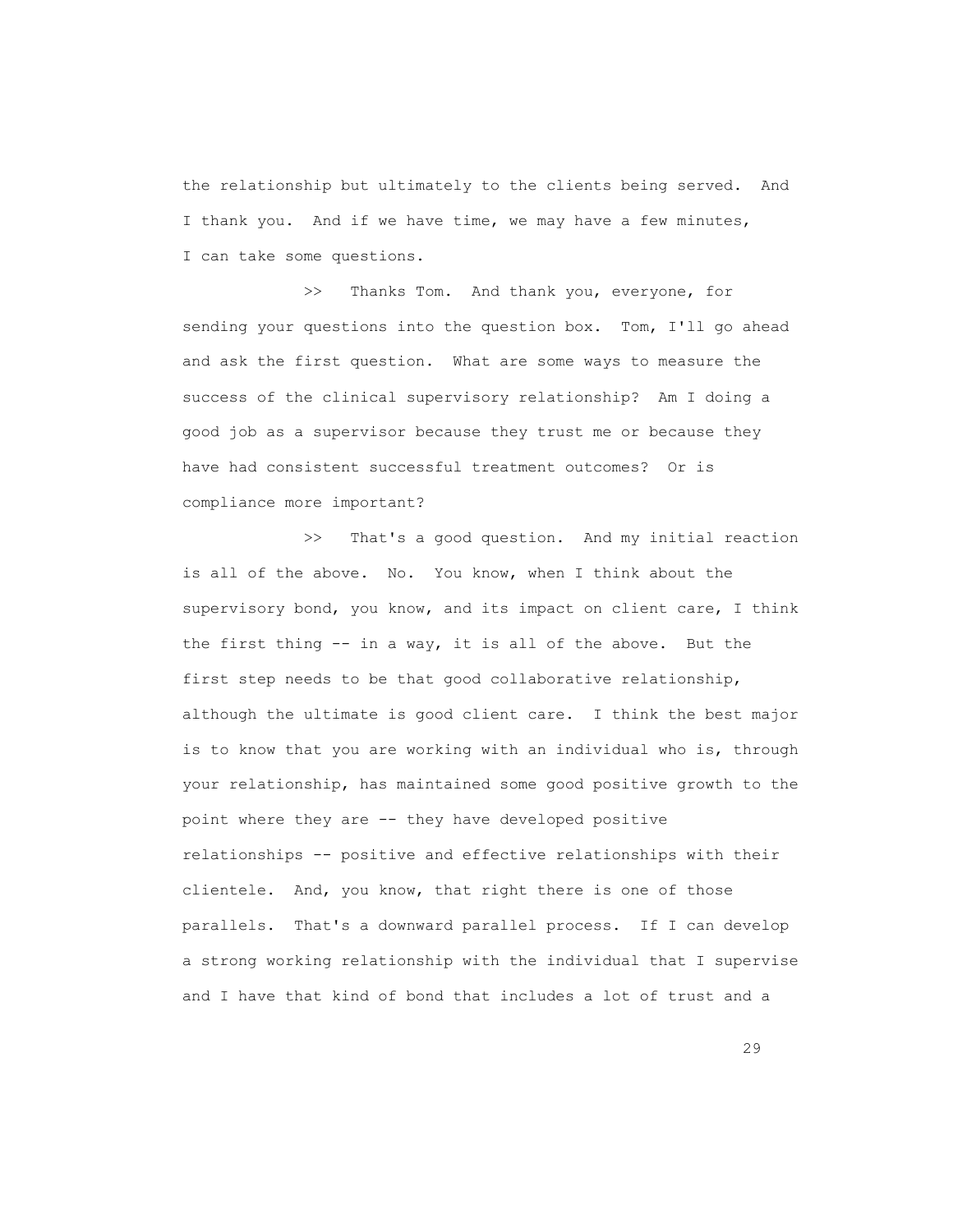the relationship but ultimately to the clients being served. And I thank you. And if we have time, we may have a few minutes, I can take some questions.

>> Thanks Tom. And thank you, everyone, for sending your questions into the question box. Tom, I'll go ahead and ask the first question. What are some ways to measure the success of the clinical supervisory relationship? Am I doing a good job as a supervisor because they trust me or because they have had consistent successful treatment outcomes? Or is compliance more important?

 >> That's a good question. And my initial reaction is all of the above. No. You know, when I think about the supervisory bond, you know, and its impact on client care, I think the first thing -- in a way, it is all of the above. But the first step needs to be that good collaborative relationship, although the ultimate is good client care. I think the best major is to know that you are working with an individual who is, through your relationship, has maintained some good positive growth to the point where they are -- they have developed positive relationships -- positive and effective relationships with their clientele. And, you know, that right there is one of those parallels. That's a downward parallel process. If I can develop a strong working relationship with the individual that I supervise and I have that kind of bond that includes a lot of trust and a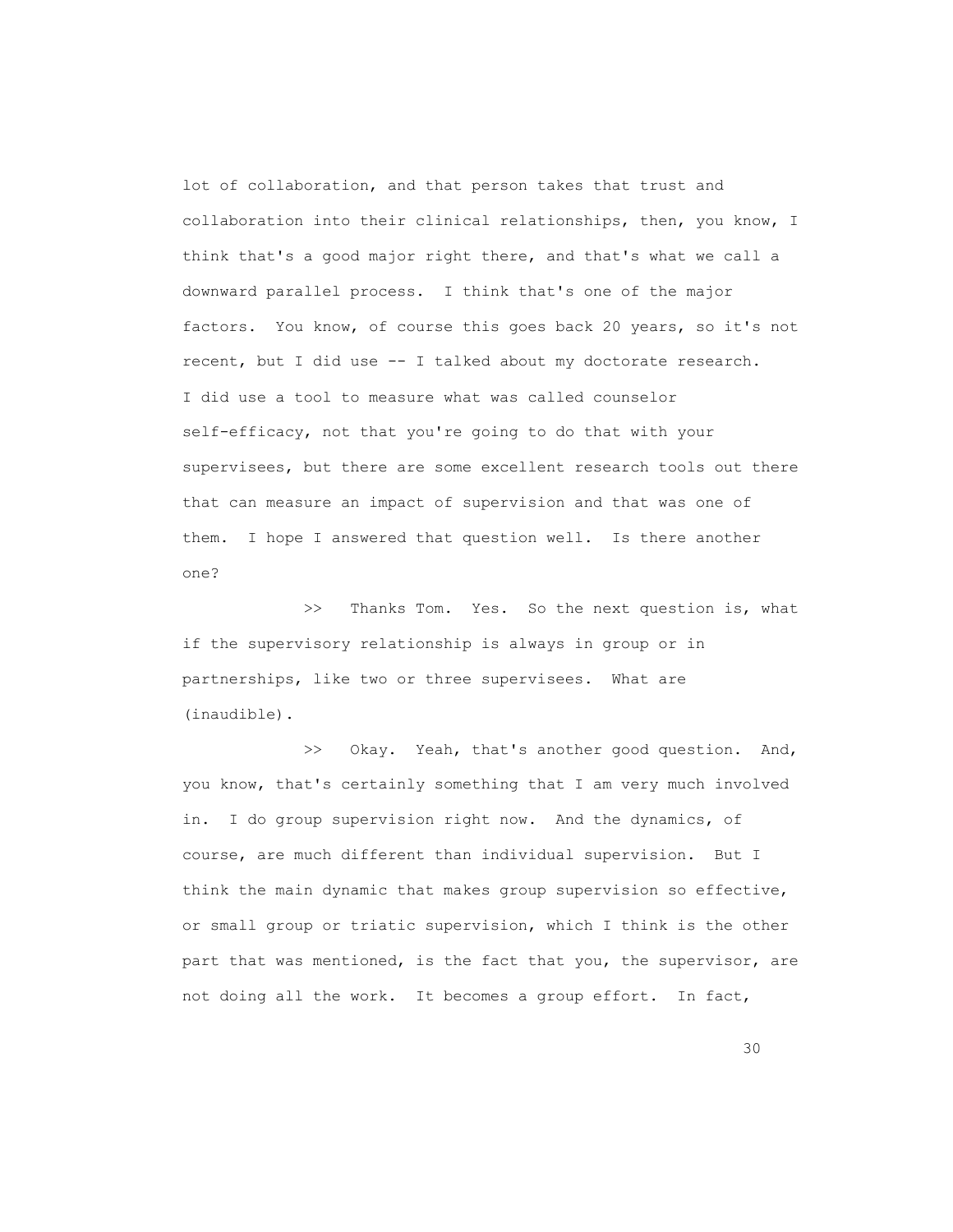lot of collaboration, and that person takes that trust and collaboration into their clinical relationships, then, you know, I think that's a good major right there, and that's what we call a downward parallel process. I think that's one of the major factors. You know, of course this goes back 20 years, so it's not recent, but I did use -- I talked about my doctorate research. I did use a tool to measure what was called counselor self-efficacy, not that you're going to do that with your supervisees, but there are some excellent research tools out there that can measure an impact of supervision and that was one of them. I hope I answered that question well. Is there another one?

>> Thanks Tom. Yes. So the next question is, what if the supervisory relationship is always in group or in partnerships, like two or three supervisees. What are (inaudible).

 >> Okay. Yeah, that's another good question. And, you know, that's certainly something that I am very much involved in. I do group supervision right now. And the dynamics, of course, are much different than individual supervision. But I think the main dynamic that makes group supervision so effective, or small group or triatic supervision, which I think is the other part that was mentioned, is the fact that you, the supervisor, are not doing all the work. It becomes a group effort. In fact,

state the contract of the contract of the contract of the contract of the contract of the contract of the contract of the contract of the contract of the contract of the contract of the contract of the contract of the cont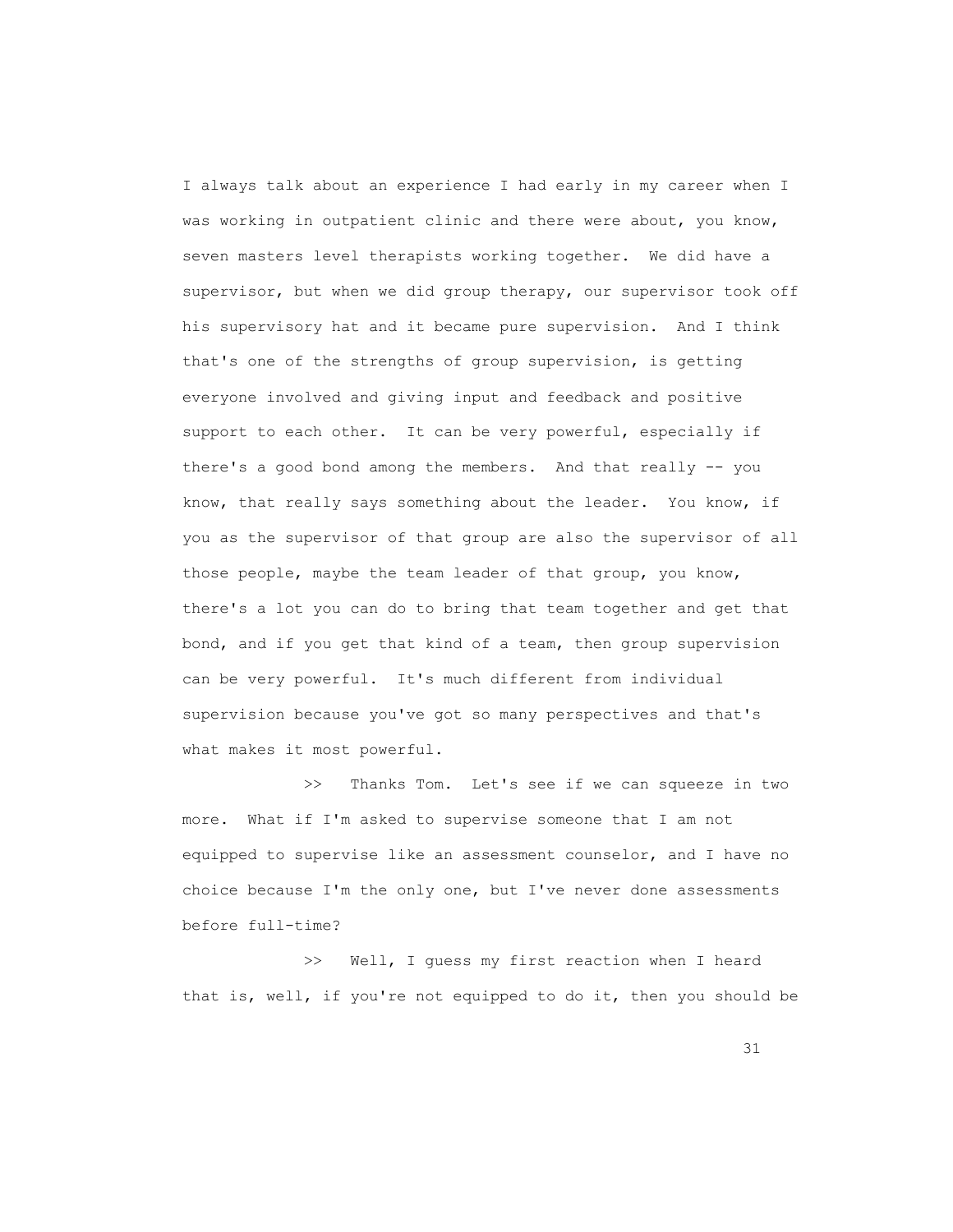I always talk about an experience I had early in my career when I was working in outpatient clinic and there were about, you know, seven masters level therapists working together. We did have a supervisor, but when we did group therapy, our supervisor took off his supervisory hat and it became pure supervision. And I think that's one of the strengths of group supervision, is getting everyone involved and giving input and feedback and positive support to each other. It can be very powerful, especially if there's a good bond among the members. And that really -- you know, that really says something about the leader. You know, if you as the supervisor of that group are also the supervisor of all those people, maybe the team leader of that group, you know, there's a lot you can do to bring that team together and get that bond, and if you get that kind of a team, then group supervision can be very powerful. It's much different from individual supervision because you've got so many perspectives and that's what makes it most powerful.

 >> Thanks Tom. Let's see if we can squeeze in two more. What if I'm asked to supervise someone that I am not equipped to supervise like an assessment counselor, and I have no choice because I'm the only one, but I've never done assessments before full-time?

 >> Well, I guess my first reaction when I heard that is, well, if you're not equipped to do it, then you should be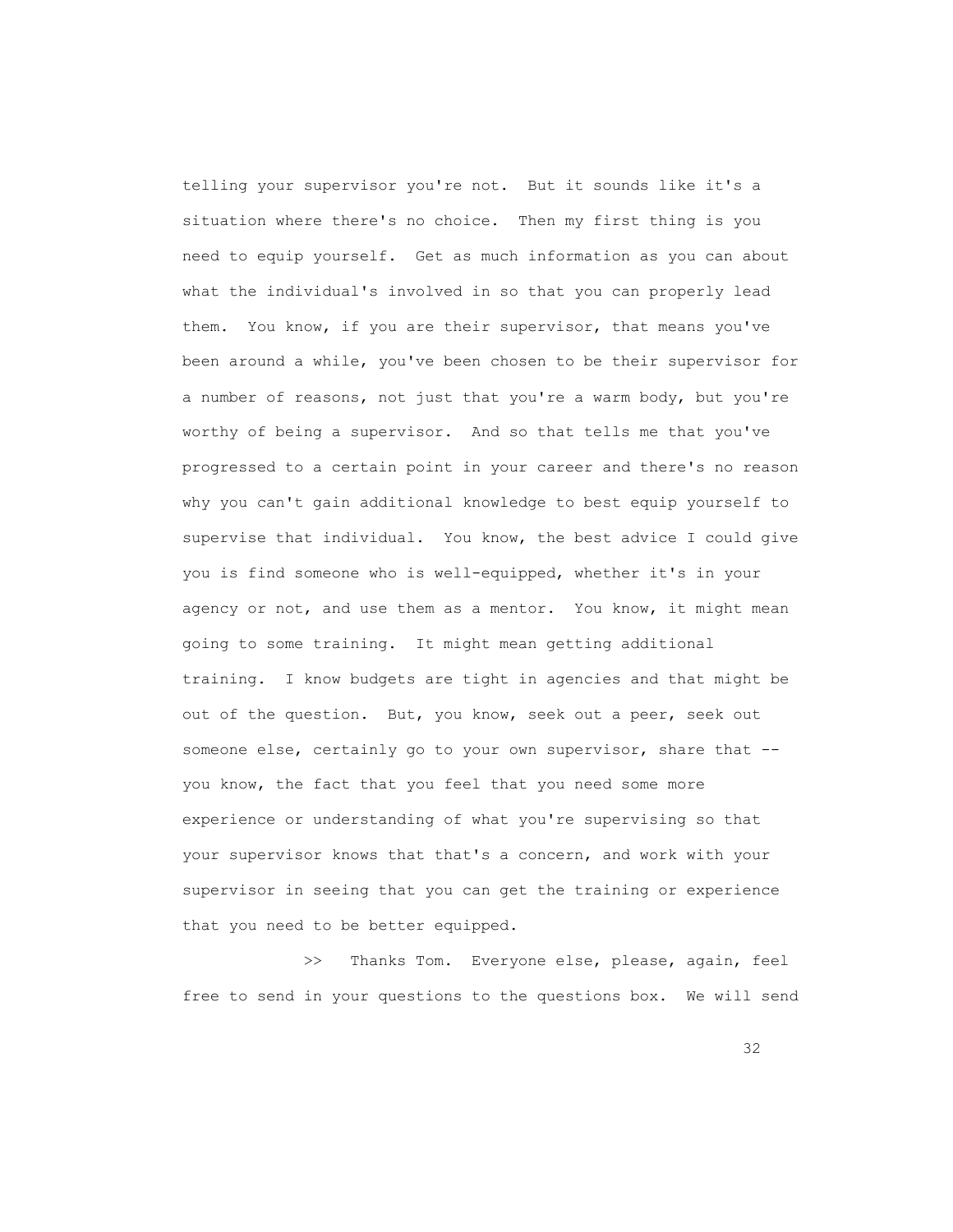telling your supervisor you're not. But it sounds like it's a situation where there's no choice. Then my first thing is you need to equip yourself. Get as much information as you can about what the individual's involved in so that you can properly lead them. You know, if you are their supervisor, that means you've been around a while, you've been chosen to be their supervisor for a number of reasons, not just that you're a warm body, but you're worthy of being a supervisor. And so that tells me that you've progressed to a certain point in your career and there's no reason why you can't gain additional knowledge to best equip yourself to supervise that individual. You know, the best advice I could give you is find someone who is well-equipped, whether it's in your agency or not, and use them as a mentor. You know, it might mean going to some training. It might mean getting additional training. I know budgets are tight in agencies and that might be out of the question. But, you know, seek out a peer, seek out someone else, certainly go to your own supervisor, share that - you know, the fact that you feel that you need some more experience or understanding of what you're supervising so that your supervisor knows that that's a concern, and work with your supervisor in seeing that you can get the training or experience that you need to be better equipped.

 >> Thanks Tom. Everyone else, please, again, feel free to send in your questions to the questions box. We will send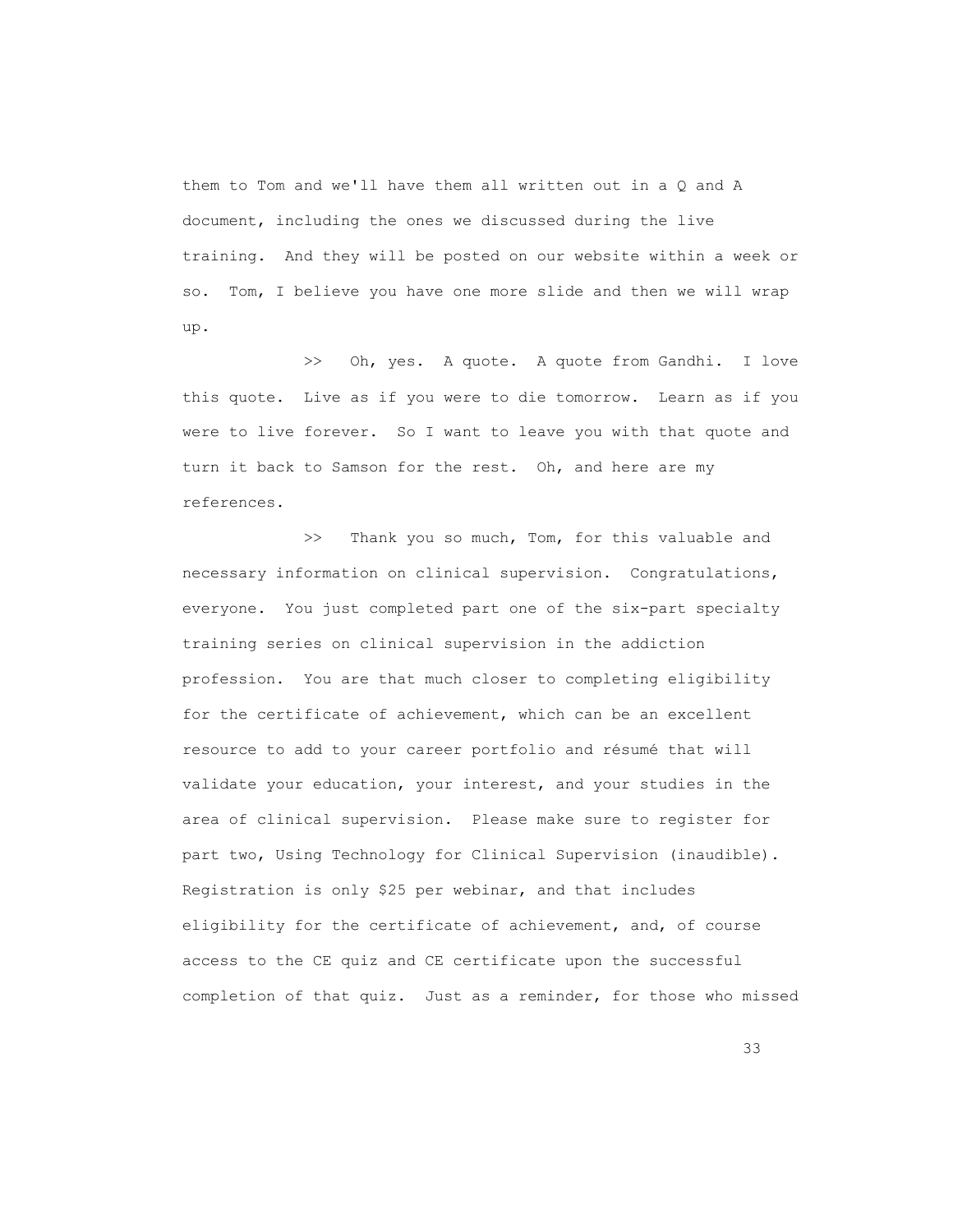them to Tom and we'll have them all written out in a Q and A document, including the ones we discussed during the live training. And they will be posted on our website within a week or so. Tom, I believe you have one more slide and then we will wrap up.

 >> Oh, yes. A quote. A quote from Gandhi. I love this quote. Live as if you were to die tomorrow. Learn as if you were to live forever. So I want to leave you with that quote and turn it back to Samson for the rest. Oh, and here are my references.

>> Thank you so much, Tom, for this valuable and necessary information on clinical supervision. Congratulations, everyone. You just completed part one of the six-part specialty training series on clinical supervision in the addiction profession. You are that much closer to completing eligibility for the certificate of achievement, which can be an excellent resource to add to your career portfolio and résumé that will validate your education, your interest, and your studies in the area of clinical supervision. Please make sure to register for part two, Using Technology for Clinical Supervision (inaudible). Registration is only \$25 per webinar, and that includes eligibility for the certificate of achievement, and, of course access to the CE quiz and CE certificate upon the successful completion of that quiz. Just as a reminder, for those who missed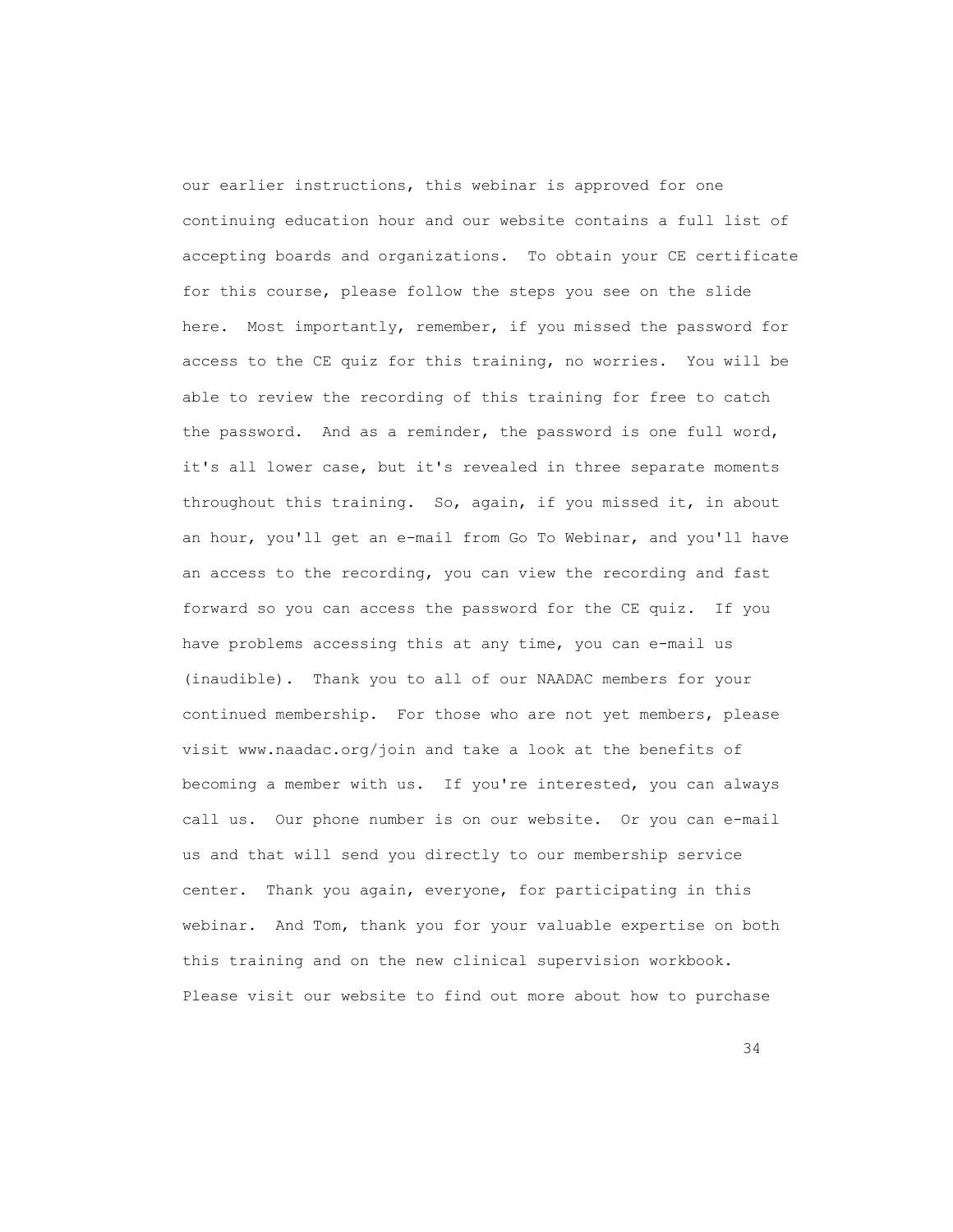our earlier instructions, this webinar is approved for one continuing education hour and our website contains a full list of accepting boards and organizations. To obtain your CE certificate for this course, please follow the steps you see on the slide here. Most importantly, remember, if you missed the password for access to the CE quiz for this training, no worries. You will be able to review the recording of this training for free to catch the password. And as a reminder, the password is one full word, it's all lower case, but it's revealed in three separate moments throughout this training. So, again, if you missed it, in about an hour, you'll get an e-mail from Go To Webinar, and you'll have an access to the recording, you can view the recording and fast forward so you can access the password for the CE quiz. If you have problems accessing this at any time, you can e-mail us (inaudible). Thank you to all of our NAADAC members for your continued membership. For those who are not yet members, please visit www.naadac.org/join and take a look at the benefits of becoming a member with us. If you're interested, you can always call us. Our phone number is on our website. Or you can e-mail us and that will send you directly to our membership service center. Thank you again, everyone, for participating in this webinar. And Tom, thank you for your valuable expertise on both this training and on the new clinical supervision workbook. Please visit our website to find out more about how to purchase